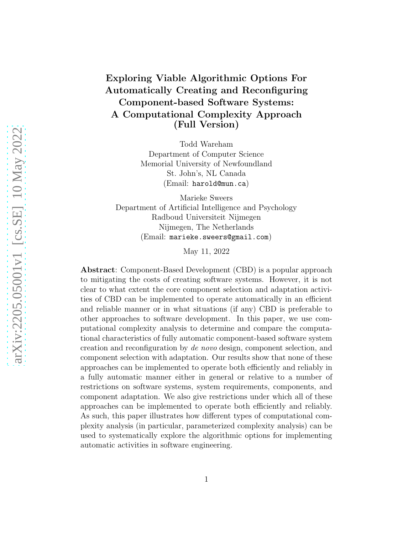## Exploring Viable Algorithmic Options For Automatically Creating and Reconfiguring Component-based Software Systems: A Computational Complexity Approach (Full Version)

Todd Wareham Department of Computer Science Memorial University of Newfoundland St. John's, NL Canada (Email: harold@mun.ca)

Marieke Sweers Department of Artificial Intelligence and Psychology Radboud Universiteit Nijmegen Nijmegen, The Netherlands (Email: marieke.sweers@gmail.com)

May 11, 2022

Abstract: Component-Based Development (CBD) is a popular approach to mitigating the costs of creating software systems. However, it is not clear to what extent the core component selection and adaptation activities of CBD can be implemented to operate automatically in an efficient and reliable manner or in what situations (if any) CBD is preferable to other approaches to software development. In this paper, we use computational complexity analysis to determine and compare the computational characteristics of fully automatic component-based software system creation and reconfiguration by *de novo* design, component selection, and component selection with adaptation. Our results show that none of these approaches can be implemented to operate both efficiently and reliably in a fully automatic manner either in general or relative to a number of restrictions on software systems, system requirements, components, and component adaptation. We also give restrictions under which all of these approaches can be implemented to operate both efficiently and reliably. As such, this paper illustrates how different types of computational complexity analysis (in particular, parameterized complexity analysis) can be used to systematically explore the algorithmic options for implementing automatic activities in software engineering.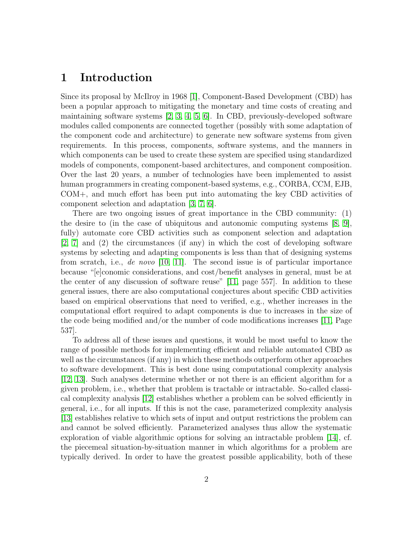## <span id="page-1-0"></span>1 Introduction

Since its proposal by McIlroy in 1968 [\[1\]](#page-21-0), Component-Based Development (CBD) has been a popular approach to mitigating the monetary and time costs of creating and maintaining software systems [\[2,](#page-21-1) [3,](#page-21-2) [4,](#page-21-3) [5,](#page-21-4) [6\]](#page-21-5). In CBD, previously-developed software modules called components are connected together (possibly with some adaptation of the component code and architecture) to generate new software systems from given requirements. In this process, components, software systems, and the manners in which components can be used to create these system are specified using standardized models of components, component-based architectures, and component composition. Over the last 20 years, a number of technologies have been implemented to assist human programmers in creating component-based systems, e.g., CORBA, CCM, EJB, COM+, and much effort has been put into automating the key CBD activities of component selection and adaptation [\[3,](#page-21-2) [7,](#page-21-6) [6\]](#page-21-5).

There are two ongoing issues of great importance in the CBD community: (1) the desire to (in the case of ubiquitous and autonomic computing systems [\[8,](#page-22-0) [9\]](#page-22-1), fully) automate core CBD activities such as component selection and adaptation [\[2,](#page-21-1) [7\]](#page-21-6) and (2) the circumstances (if any) in which the cost of developing software systems by selecting and adapting components is less than that of designing systems from scratch, i.e., *de novo* [\[10,](#page-22-2) [11\]](#page-22-3). The second issue is of particular importance because "[e]conomic considerations, and cost/benefit analyses in general, must be at the center of any discussion of software reuse" [\[11,](#page-22-3) page 557]. In addition to these general issues, there are also computational conjectures about specific CBD activities based on empirical observations that need to verified, e.g., whether increases in the computational effort required to adapt components is due to increases in the size of the code being modified and/or the number of code modifications increases [\[11,](#page-22-3) Page 537].

To address all of these issues and questions, it would be most useful to know the range of possible methods for implementing efficient and reliable automated CBD as well as the circumstances (if any) in which these methods outperform other approaches to software development. This is best done using computational complexity analysis [\[12,](#page-22-4) [13\]](#page-22-5). Such analyses determine whether or not there is an efficient algorithm for a given problem, i.e., whether that problem is tractable or intractable. So-called classical complexity analysis [\[12\]](#page-22-4) establishes whether a problem can be solved efficiently in general, i.e., for all inputs. If this is not the case, parameterized complexity analysis [\[13\]](#page-22-5) establishes relative to which sets of input and output restrictions the problem can and cannot be solved efficiently. Parameterized analyses thus allow the systematic exploration of viable algorithmic options for solving an intractable problem [\[14\]](#page-22-6), cf. the piecemeal situation-by-situation manner in which algorithms for a problem are typically derived. In order to have the greatest possible applicability, both of these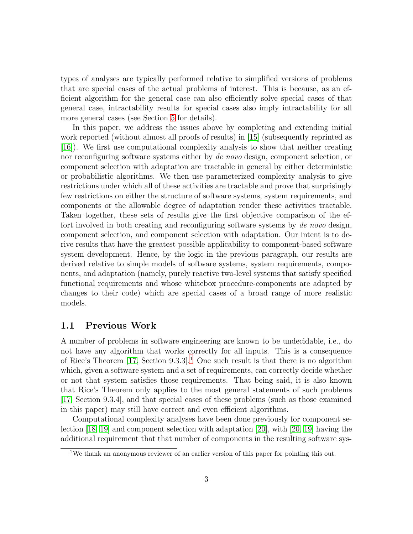types of analyses are typically performed relative to simplified versions of problems that are special cases of the actual problems of interest. This is because, as an efficient algorithm for the general case can also efficiently solve special cases of that general case, intractability results for special cases also imply intractability for all more general cases (see Section [5](#page-15-0) for details).

In this paper, we address the issues above by completing and extending initial work reported (without almost all proofs of results) in [\[15\]](#page-22-7) (subsequently reprinted as [\[16\]](#page-22-8)). We first use computational complexity analysis to show that neither creating nor reconfiguring software systems either by *de novo* design, component selection, or component selection with adaptation are tractable in general by either deterministic or probabilistic algorithms. We then use parameterized complexity analysis to give restrictions under which all of these activities are tractable and prove that surprisingly few restrictions on either the structure of software systems, system requirements, and components or the allowable degree of adaptation render these activities tractable. Taken together, these sets of results give the first objective comparison of the effort involved in both creating and reconfiguring software systems by *de novo* design, component selection, and component selection with adaptation. Our intent is to derive results that have the greatest possible applicability to component-based software system development. Hence, by the logic in the previous paragraph, our results are derived relative to simple models of software systems, system requirements, components, and adaptation (namely, purely reactive two-level systems that satisfy specified functional requirements and whose whitebox procedure-components are adapted by changes to their code) which are special cases of a broad range of more realistic models.

## <span id="page-2-1"></span>1.1 Previous Work

A number of problems in software engineering are known to be undecidable, i.e., do not have any algorithm that works correctly for all inputs. This is a consequence of Rice's Theorem  $[17, Section 9.3.3].$  $[17, Section 9.3.3].$  $[17, Section 9.3.3].$ <sup>1</sup> One such result is that there is no algorithm which, given a software system and a set of requirements, can correctly decide whether or not that system satisfies those requirements. That being said, it is also known that Rice's Theorem only applies to the most general statements of such problems [\[17,](#page-22-9) Section 9.3.4], and that special cases of these problems (such as those examined in this paper) may still have correct and even efficient algorithms.

Computational complexity analyses have been done previously for component selection [\[18,](#page-22-10) [19\]](#page-22-11) and component selection with adaptation [\[20\]](#page-23-0), with [\[20,](#page-23-0) [19\]](#page-22-11) having the additional requirement that that number of components in the resulting software sys-

<span id="page-2-0"></span><sup>&</sup>lt;sup>1</sup>We thank an anonymous reviewer of an earlier version of this paper for pointing this out.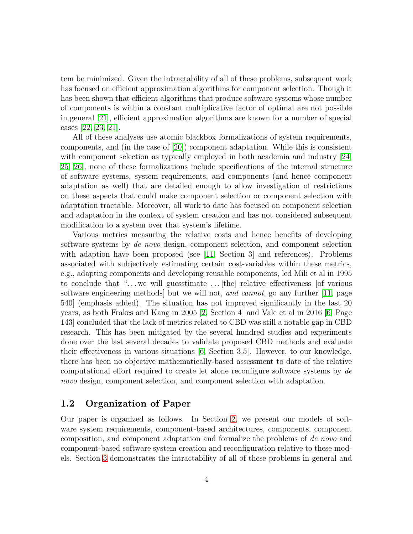tem be minimized. Given the intractability of all of these problems, subsequent work has focused on efficient approximation algorithms for component selection. Though it has been shown that efficient algorithms that produce software systems whose number of components is within a constant multiplicative factor of optimal are not possible in general [\[21\]](#page-23-1), efficient approximation algorithms are known for a number of special cases [\[22,](#page-23-2) [23,](#page-23-3) [21\]](#page-23-1).

All of these analyses use atomic blackbox formalizations of system requirements, components, and (in the case of [\[20\]](#page-23-0)) component adaptation. While this is consistent with component selection as typically employed in both academia and industry [\[24,](#page-23-4) [25,](#page-23-5) [26\]](#page-23-6), none of these formalizations include specifications of the internal structure of software systems, system requirements, and components (and hence component adaptation as well) that are detailed enough to allow investigation of restrictions on these aspects that could make component selection or component selection with adaptation tractable. Moreover, all work to date has focused on component selection and adaptation in the context of system creation and has not considered subsequent modification to a system over that system's lifetime.

Various metrics measuring the relative costs and hence benefits of developing software systems by *de novo* design, component selection, and component selection with adaption have been proposed (see  $|11|$ , Section 3 and references). Problems associated with subjectively estimating certain cost-variables within these metrics, e.g., adapting components and developing reusable components, led Mili et al in 1995 to conclude that " $\dots$  we will guesstimate  $\dots$  [the] relative effectiveness [of various software engineering methods] but we will not, *and cannot*, go any further [\[11,](#page-22-3) page 540] (emphasis added). The situation has not improved significantly in the last 20 years, as both Frakes and Kang in 2005 [\[2,](#page-21-1) Section 4] and Vale et al in 2016 [\[6,](#page-21-5) Page 143] concluded that the lack of metrics related to CBD was still a notable gap in CBD research. This has been mitigated by the several hundred studies and experiments done over the last several decades to validate proposed CBD methods and evaluate their effectiveness in various situations [\[6,](#page-21-5) Section 3.5]. However, to our knowledge, there has been no objective mathematically-based assessment to date of the relative computational effort required to create let alone reconfigure software systems by *de novo* design, component selection, and component selection with adaptation.

## 1.2 Organization of Paper

Our paper is organized as follows. In Section [2,](#page-4-0) we present our models of software system requirements, component-based architectures, components, component composition, and component adaptation and formalize the problems of *de novo* and component-based software system creation and reconfiguration relative to these models. Section [3](#page-12-0) demonstrates the intractability of all of these problems in general and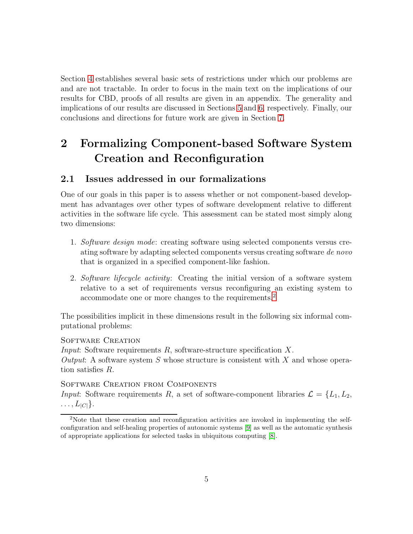Section [4](#page-13-0) establishes several basic sets of restrictions under which our problems are and are not tractable. In order to focus in the main text on the implications of our results for CBD, proofs of all results are given in an appendix. The generality and implications of our results are discussed in Sections [5](#page-15-0) and [6,](#page-17-0) respectively. Finally, our conclusions and directions for future work are given in Section [7.](#page-20-0)

# <span id="page-4-0"></span>2 Formalizing Component-based Software System Creation and Reconfiguration

## <span id="page-4-2"></span>2.1 Issues addressed in our formalizations

One of our goals in this paper is to assess whether or not component-based development has advantages over other types of software development relative to different activities in the software life cycle. This assessment can be stated most simply along two dimensions:

- 1. *Software design mode*: creating software using selected components versus creating software by adapting selected components versus creating software *de novo* that is organized in a specified component-like fashion.
- 2. *Software lifecycle activity*: Creating the initial version of a software system relative to a set of requirements versus reconfiguring an existing system to accommodate one or more changes to the requirements.[2](#page-4-1)

The possibilities implicit in these dimensions result in the following six informal computational problems:

### SOFTWARE CREATION

*Input*: Software requirements R, software-structure specification X. *Output*: A software system S whose structure is consistent with X and whose operation satisfies R.

Software Creation from Components *Input*: Software requirements R, a set of software-component libraries  $\mathcal{L} = \{L_1, L_2,$  $\ldots, L_{|C|}\}.$ 

<span id="page-4-1"></span><sup>&</sup>lt;sup>2</sup>Note that these creation and reconfiguration activities are invoked in implementing the selfconfiguration and self-healing properties of autonomic systems [\[9\]](#page-22-1) as well as the automatic synthesis of appropriate applications for selected tasks in ubiquitous computing [\[8\]](#page-22-0).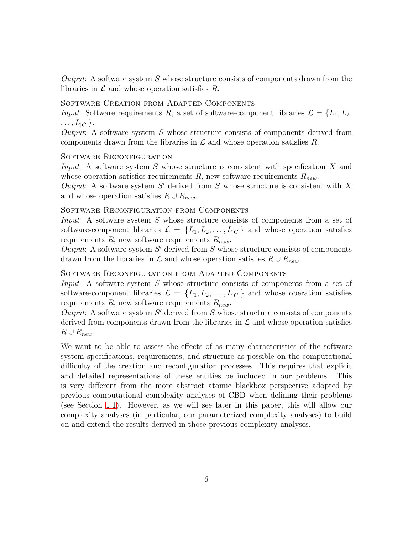*Output*: A software system S whose structure consists of components drawn from the libraries in  $\mathcal L$  and whose operation satisfies  $R$ .

Software Creation from Adapted Components

*Input*: Software requirements R, a set of software-component libraries  $\mathcal{L} = \{L_1, L_2,$  $\ldots, L_{|C|}$ .

*Output*: A software system S whose structure consists of components derived from components drawn from the libraries in  $\mathcal L$  and whose operation satisfies  $R$ .

### SOFTWARE RECONFIGURATION

*Input*: A software system S whose structure is consistent with specification X and whose operation satisfies requirements R, new software requirements  $R_{new}$ .

Output: A software system  $S'$  derived from  $S$  whose structure is consistent with  $X$ and whose operation satisfies  $R \cup R_{new}$ .

### Software Reconfiguration from Components

*Input*: A software system S whose structure consists of components from a set of software-component libraries  $\mathcal{L} = \{L_1, L_2, \ldots, L_{|C|}\}\$  and whose operation satisfies requirements  $R$ , new software requirements  $R_{new}$ .

 $Output: A software system S' derived from S whose structure consists of components$ drawn from the libraries in  $\mathcal L$  and whose operation satisfies  $R \cup R_{new}$ .

### Software Reconfiguration from Adapted Components

*Input*: A software system S whose structure consists of components from a set of software-component libraries  $\mathcal{L} = \{L_1, L_2, \ldots, L_{|C|}\}\$  and whose operation satisfies requirements R, new software requirements  $R_{new}$ .

 $Output: A software system S' derived from S whose structure consists of components$ derived from components drawn from the libraries in  $\mathcal L$  and whose operation satisfies  $R \cup R_{new}.$ 

We want to be able to assess the effects of as many characteristics of the software system specifications, requirements, and structure as possible on the computational difficulty of the creation and reconfiguration processes. This requires that explicit and detailed representations of these entities be included in our problems. This is very different from the more abstract atomic blackbox perspective adopted by previous computational complexity analyses of CBD when defining their problems (see Section [1.1\)](#page-2-1). However, as we will see later in this paper, this will allow our complexity analyses (in particular, our parameterized complexity analyses) to build on and extend the results derived in those previous complexity analyses.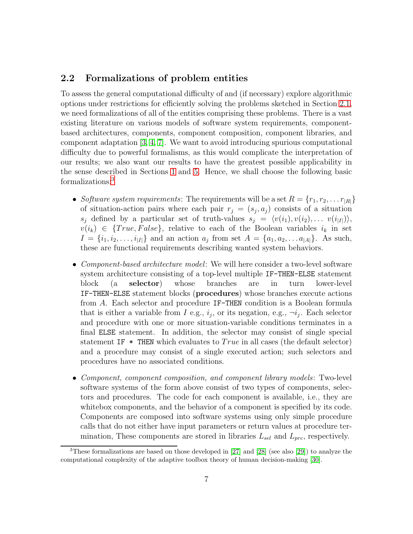## <span id="page-6-1"></span>2.2 Formalizations of problem entities

To assess the general computational difficulty of and (if necessary) explore algorithmic options under restrictions for efficiently solving the problems sketched in Section [2.1,](#page-4-2) we need formalizations of all of the entities comprising these problems. There is a vast existing literature on various models of software system requirements, componentbased architectures, components, component composition, component libraries, and component adaptation [\[3,](#page-21-2) [4,](#page-21-3) [7\]](#page-21-6). We want to avoid introducing spurious computational difficulty due to powerful formalisms, as this would complicate the interpretation of our results; we also want our results to have the greatest possible applicability in the sense described in Sections [1](#page-1-0) and [5.](#page-15-0) Hence, we shall choose the following basic formalizations:[3](#page-6-0)

- *Software system requirements*: The requirements will be a set  $R = \{r_1, r_2, \ldots r_{|R|}\}$ of situation-action pairs where each pair  $r_j = (s_j, a_j)$  consists of a situation  $s_j$  defined by a particular set of truth-values  $s_j = \langle v(i_1), v(i_2), \dots v(i_{|I|}) \rangle$ ,  $v(i_k) \in \{True, False\},$  relative to each of the Boolean variables  $i_k$  in set  $I = \{i_1, i_2, \ldots, i_{|I|}\}\$ and an action  $a_j$  from set  $A = \{a_1, a_2, \ldots, a_{|A|}\}\$ . As such, these are functional requirements describing wanted system behaviors.
- *Component-based architecture model*: We will here consider a two-level software system architecture consisting of a top-level multiple IF-THEN-ELSE statement block (a selector) whose branches are in turn lower-level IF-THEN-ELSE statement blocks (procedures) whose branches execute actions from A. Each selector and procedure IF-THEN condition is a Boolean formula that is either a variable from I e.g.,  $i_j$ , or its negation, e.g.,  $\neg i_j$ . Each selector and procedure with one or more situation-variable conditions terminates in a final ELSE statement. In addition, the selector may consist of single special statement IF  $*$  THEN which evaluates to  $True$  in all cases (the default selector) and a procedure may consist of a single executed action; such selectors and procedures have no associated conditions.
- *Component, component composition, and component library models*: Two-level software systems of the form above consist of two types of components, selectors and procedures. The code for each component is available, i.e., they are whitebox components, and the behavior of a component is specified by its code. Components are composed into software systems using only simple procedure calls that do not either have input parameters or return values at procedure termination, These components are stored in libraries  $L_{sel}$  and  $L_{prc}$ , respectively.

<span id="page-6-0"></span><sup>3</sup>These formalizations are based on those developed in [\[27\]](#page-23-7) and [\[28\]](#page-23-8) (see also [\[29\]](#page-23-9)) to analyze the computational complexity of the adaptive toolbox theory of human decision-making [\[30\]](#page-24-0).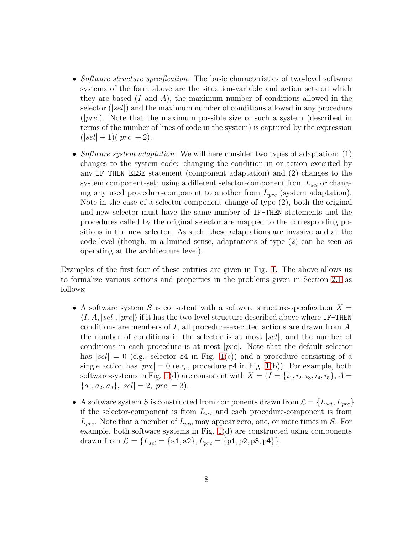- *Software structure specification*: The basic characteristics of two-level software systems of the form above are the situation-variable and action sets on which they are based  $(I \text{ and } A)$ , the maximum number of conditions allowed in the selector  $(|sel|)$  and the maximum number of conditions allowed in any procedure  $(|prc|)$ . Note that the maximum possible size of such a system (described in terms of the number of lines of code in the system) is captured by the expression  $(|sel| + 1)(|prc| + 2).$
- *Software system adaptation*: We will here consider two types of adaptation: (1) changes to the system code: changing the condition in or action executed by any IF-THEN-ELSE statement (component adaptation) and (2) changes to the system component-set: using a different selector-component from  $L_{sel}$  or changing any used procedure-component to another from  $L_{prc}$  (system adaptation). Note in the case of a selector-component change of type (2), both the original and new selector must have the same number of IF-THEN statements and the procedures called by the original selector are mapped to the corresponding positions in the new selector. As such, these adaptations are invasive and at the code level (though, in a limited sense, adaptations of type (2) can be seen as operating at the architecture level).

Examples of the first four of these entities are given in Fig. [1.](#page-8-0) The above allows us to formalize various actions and properties in the problems given in Section [2.1](#page-4-2) as follows:

- A software system S is consistent with a software structure-specification  $X =$  $\langle I, A, |sel|, |prc| \rangle$  if it has the two-level structure described above where IF-THEN conditions are members of  $I$ , all procedure-executed actions are drawn from  $A$ , the number of conditions in the selector is at most  $|sel|$ , and the number of conditions in each procedure is at most |prc|. Note that the default selector has  $|sel| = 0$  (e.g., selector **s4** in Fig. [1\(](#page-8-0)c)) and a procedure consisting of a single action has  $|prc| = 0$  (e.g., procedure  $p4$  in Fig. [1\(](#page-8-0)b)). For example, both software-systems in Fig. [1\(](#page-8-0)d) are consistent with  $X = (I = \{i_1, i_2, i_3, i_4, i_5\}, A =$  ${a_1, a_2, a_3}, |sel| = 2, |prc| = 3).$
- A software system S is constructed from components drawn from  $\mathcal{L} = \{L_{sel}, L_{prc}\}$ if the selector-component is from  $L_{sel}$  and each procedure-component is from  $L_{prc}$ . Note that a member of  $L_{prc}$  may appear zero, one, or more times in S. For example, both software systems in Fig. [1\(](#page-8-0)d) are constructed using components drawn from  $\mathcal{L} = \{L_{sel} = \{\texttt{s1}, \texttt{s2}\}, L_{prc} = \{\texttt{p1}, \texttt{p2}, \texttt{p3}, \texttt{p4}\}\}.$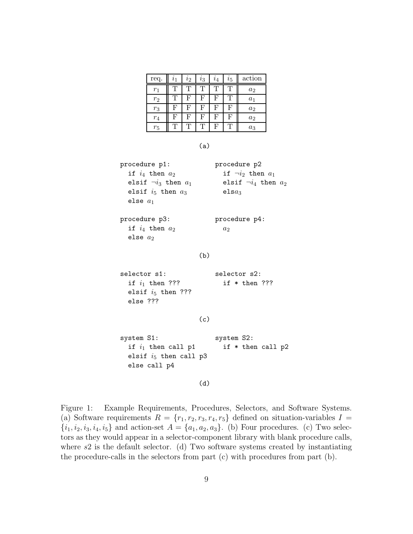| req.  | $\imath_1$ | $\imath_2$ | $i_3$ | i <sub>4</sub> | $i_{5}$ | action |
|-------|------------|------------|-------|----------------|---------|--------|
| $r_1$ | Τ          | Т          | T     | Τ              | Τ       | $a_2$  |
| $r_2$ | Τ          | F          | F     | F              |         | $a_1$  |
| $r_3$ | F          | F          | F     | F              | F       | $a_2$  |
| $r_4$ | F          | F          | F     | F              | F       | $a_2$  |
| $r_5$ | Τ          | т          |       | F              |         | $a_3$  |

(a)

| procedure p1:               | procedure p2                |
|-----------------------------|-----------------------------|
| if $i_4$ then $a_2$         | if $\neg i_2$ then $a_1$    |
| elsif $\neg i_3$ then $a_1$ | elsif $\neg i_4$ then $a_2$ |
| elsif $i_5$ then $a_3$      | els $a_3$                   |
| else $a_1$                  |                             |
| procedure p3:               | procedure p4:               |
| if $i_4$ then $a_2$         | a <sub>2</sub>              |
| else $a_2$                  |                             |

#### (b)

selector s1: selector s2: if  $i_1$  then ??? if  $*$  then ??? elsif  $i_5$  then ??? else ???

(c)

system S1: system S2: if  $i_1$  then call p1 if \* then call p2 elsif  $i_5$  then call  $p3$ else call p4

(d)

<span id="page-8-0"></span>Figure 1: Example Requirements, Procedures, Selectors, and Software Systems. (a) Software requirements  $R = \{r_1, r_2, r_3, r_4, r_5\}$  defined on situation-variables  $I =$  ${i_1, i_2, i_3, i_4, i_5}$  and action-set  $A = {a_1, a_2, a_3}$ . (b) Four procedures. (c) Two selectors as they would appear in a selector-component library with blank procedure calls, where  $s2$  is the default selector. (d) Two software systems created by instantiating the procedure-calls in the selectors from part (c) with procedures from part (b).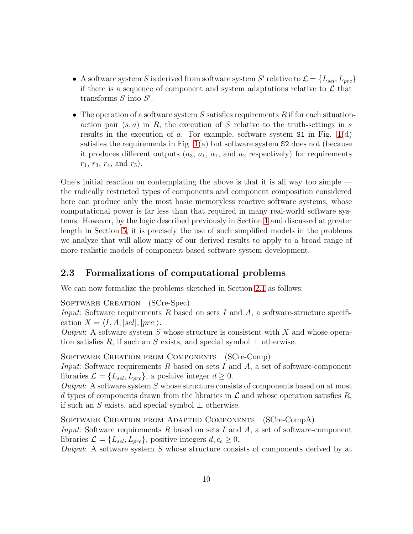- A software system S is derived from software system S' relative to  $\mathcal{L} = \{L_{sel}, L_{prc}\}$ if there is a sequence of component and system adaptations relative to  $\mathcal L$  that transforms  $S$  into  $S'$ .
- The operation of a software system S satisfies requirements R if for each situationaction pair  $(s, a)$  in R, the execution of S relative to the truth-settings in s results in the execution of a. For example, software system  $S1$  in Fig. [1\(](#page-8-0)d) satisfies the requirements in Fig.  $1(a)$  but software system S2 does not (because it produces different outputs  $(a_3, a_1, a_1, a_2$  respectively) for requirements  $r_1$ ,  $r_3$ ,  $r_4$ , and  $r_5$ ).

One's initial reaction on contemplating the above is that it is all way too simple the radically restricted types of components and component composition considered here can produce only the most basic memoryless reactive software systems, whose computational power is far less than that required in many real-world software systems. However, by the logic described previously in Section [1](#page-1-0) and discussed at greater length in Section [5,](#page-15-0) it is precisely the use of such simplified models in the problems we analyze that will allow many of our derived results to apply to a broad range of more realistic models of component-based software system development.

## <span id="page-9-0"></span>2.3 Formalizations of computational problems

We can now formalize the problems sketched in Section [2.1](#page-4-2) as follows:

SOFTWARE CREATION (SCre-Spec)

*Input*: Software requirements R based on sets I and A, a software-structure specification  $X = \langle I, A, |sel|, |prc|\rangle.$ 

*Output*: A software system S whose structure is consistent with X and whose operation satisfies R, if such an S exists, and special symbol  $\perp$  otherwise.

Software Creation from Components (SCre-Comp)

*Input*: Software requirements R based on sets I and A, a set of software-component libraries  $\mathcal{L} = \{L_{sel}, L_{mc}\}\$ , a positive integer  $d \geq 0$ .

*Output*: A software system S whose structure consists of components based on at most d types of components drawn from the libraries in  $\mathcal L$  and whose operation satisfies  $R$ , if such an S exists, and special symbol  $\perp$  otherwise.

Software Creation from Adapted Components (SCre-CompA) *Input*: Software requirements R based on sets I and A, a set of software-component libraries  $\mathcal{L} = \{L_{sel}, L_{prc}\}\$ , positive integers  $d, c_c \geq 0$ .

*Output*: A software system S whose structure consists of components derived by at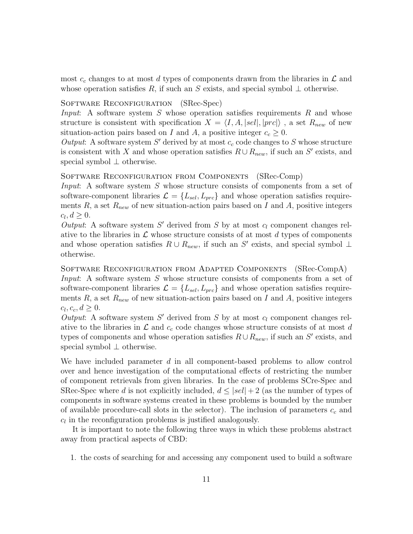most  $c_c$  changes to at most d types of components drawn from the libraries in  $\mathcal L$  and whose operation satisfies R, if such an S exists, and special symbol  $\perp$  otherwise.

#### SOFTWARE RECONFIGURATION (SRec-Spec)

*Input*: A software system S whose operation satisfies requirements R and whose structure is consistent with specification  $X = \langle I, A, |sel|, |prc|\rangle$ , a set  $R_{new}$  of new situation-action pairs based on I and A, a positive integer  $c_c \geq 0$ .

Output: A software system  $S'$  derived by at most  $c_c$  code changes to  $S$  whose structure is consistent with X and whose operation satisfies  $R \cup R_{new}$ , if such an S' exists, and special symbol ⊥ otherwise.

#### Software Reconfiguration from Components (SRec-Comp)

*Input*: A software system S whose structure consists of components from a set of software-component libraries  $\mathcal{L} = \{L_{sel}, L_{prc}\}\$  and whose operation satisfies requirements R, a set  $R_{new}$  of new situation-action pairs based on I and A, positive integers  $c_l, d \geq 0.$ 

*Output*: A software system  $S'$  derived from  $S$  by at most  $c_l$  component changes relative to the libraries in  $\mathcal L$  whose structure consists of at most d types of components and whose operation satisfies  $R \cup R_{new}$ , if such an S' exists, and special symbol  $\perp$ otherwise.

Software Reconfiguration from Adapted Components (SRec-CompA) *Input*: A software system S whose structure consists of components from a set of software-component libraries  $\mathcal{L} = \{L_{sel}, L_{prc}\}\$  and whose operation satisfies requirements R, a set  $R_{new}$  of new situation-action pairs based on I and A, positive integers  $c_l, c_c, d \geq 0.$ 

*Output*: A software system  $S'$  derived from  $S$  by at most  $c_l$  component changes relative to the libraries in  $\mathcal L$  and  $c_c$  code changes whose structure consists of at most d types of components and whose operation satisfies  $R \cup R_{new}$ , if such an S' exists, and special symbol ⊥ otherwise.

We have included parameter  $d$  in all component-based problems to allow control over and hence investigation of the computational effects of restricting the number of component retrievals from given libraries. In the case of problems SCre-Spec and SRec-Spec where d is not explicitly included,  $d \leq |sel| + 2$  (as the number of types of components in software systems created in these problems is bounded by the number of available procedure-call slots in the selector). The inclusion of parameters  $c_c$  and  $c_l$  in the reconfiguration problems is justified analogously.

It is important to note the following three ways in which these problems abstract away from practical aspects of CBD:

1. the costs of searching for and accessing any component used to build a software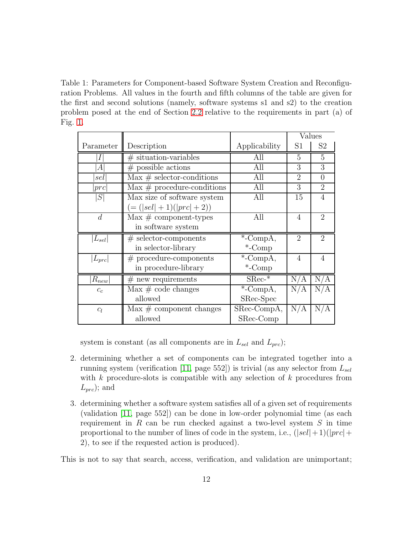<span id="page-11-0"></span>Table 1: Parameters for Component-based Software System Creation and Reconfiguration Problems. All values in the fourth and fifth columns of the table are given for the first and second solutions (namely, software systems s1 and s2) to the creation problem posed at the end of Section [2.2](#page-6-1) relative to the requirements in part (a) of Fig. [1.](#page-8-0)

|                |                                           |               | Values         |                |
|----------------|-------------------------------------------|---------------|----------------|----------------|
| Parameter      | Description                               | Applicability | S1             | S <sub>2</sub> |
| Ι              | $#$ situation-variables                   | All           | 5              | 5              |
| $\bm{A}$       | $#$ possible actions                      | All           | 3              | 3              |
| sel            | $Max \# selector-conditions$              | All           | $\mathfrak{D}$ | $\overline{0}$ |
| prc            | $\text{Max} \#$ procedure-conditions      | All           | 3              | $\overline{2}$ |
| S              | Max size of software system               | All           | 15             | $\overline{4}$ |
|                | $(=( sel  + 1)( prc  + 2))$               |               |                |                |
| $\overline{d}$ | $\text{Max} \# \text{component-types}$    | All           | $\overline{4}$ | $\overline{2}$ |
|                | in software system                        |               |                |                |
| $ L_{sel} $    | $#$ selector-components                   | $^*$ -CompA,  | $\overline{2}$ | $\overline{2}$ |
|                | in selector-library                       | $-$ Comp      |                |                |
| $ L_{prc} $    | $#$ procedure-components                  | $*$ -CompA,   | $\overline{4}$ | 4              |
|                | in procedure-library                      | $*$ -Comp     |                |                |
| $R_{new}$      | $#$ new requirements                      | $SRec-*$      | N/A            | N/A            |
| $c_c$          | $\text{Max} \# \text{ code changes}$      | $*$ -CompA,   | N/A            | N/A            |
|                | allowed                                   | SRec-Spec     |                |                |
| $c_l$          | $\text{Max} \# \text{ component changes}$ | SRec-CompA,   | N/A            | N/A            |
|                | allowed                                   | SRec-Comp     |                |                |

system is constant (as all components are in  $L_{sel}$  and  $L_{prc}$ );

- 2. determining whether a set of components can be integrated together into a running system (verification [\[11,](#page-22-3) page 552]) is trivial (as any selector from  $L_{sel}$ with  $k$  procedure-slots is compatible with any selection of  $k$  procedures from  $L_{prc}$ ); and
- 3. determining whether a software system satisfies all of a given set of requirements (validation [\[11,](#page-22-3) page 552]) can be done in low-order polynomial time (as each requirement in  $R$  can be run checked against a two-level system  $S$  in time proportional to the number of lines of code in the system, i.e.,  $(|sel| + 1)(|prc| +$ 2), to see if the requested action is produced).

This is not to say that search, access, verification, and validation are unimportant;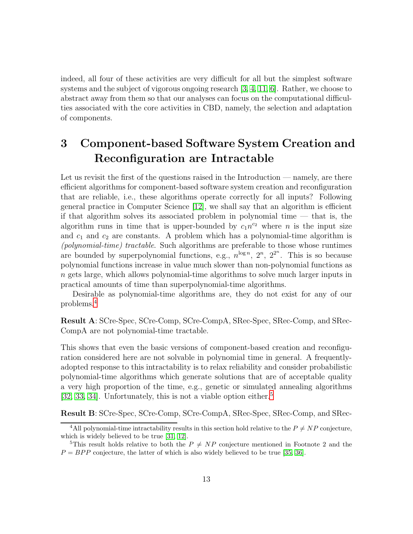indeed, all four of these activities are very difficult for all but the simplest software systems and the subject of vigorous ongoing research [\[3,](#page-21-2) [4,](#page-21-3) [11,](#page-22-3) [6\]](#page-21-5). Rather, we choose to abstract away from them so that our analyses can focus on the computational difficulties associated with the core activities in CBD, namely, the selection and adaptation of components.

# <span id="page-12-0"></span>3 Component-based Software System Creation and Reconfiguration are Intractable

Let us revisit the first of the questions raised in the Introduction — namely, are there efficient algorithms for component-based software system creation and reconfiguration that are reliable, i.e., these algorithms operate correctly for all inputs? Following general practice in Computer Science [\[12\]](#page-22-4), we shall say that an algorithm is efficient if that algorithm solves its associated problem in polynomial time  $-$  that is, the algorithm runs in time that is upper-bounded by  $c_1n^{c_2}$  where n is the input size and  $c_1$  and  $c_2$  are constants. A problem which has a polynomial-time algorithm is *(polynomial-time) tractable*. Such algorithms are preferable to those whose runtimes are bounded by superpolynomial functions, e.g.,  $n^{\log n}$ ,  $2^n$ ,  $2^{2^n}$ . This is so because polynomial functions increase in value much slower than non-polynomial functions as  $n$  gets large, which allows polynomial-time algorithms to solve much larger inputs in practical amounts of time than superpolynomial-time algorithms.

Desirable as polynomial-time algorithms are, they do not exist for any of our problems.[4](#page-12-1)

Result A: SCre-Spec, SCre-Comp, SCre-CompA, SRec-Spec, SRec-Comp, and SRec-CompA are not polynomial-time tractable.

This shows that even the basic versions of component-based creation and reconfiguration considered here are not solvable in polynomial time in general. A frequentlyadopted response to this intractability is to relax reliability and consider probabilistic polynomial-time algorithms which generate solutions that are of acceptable quality a very high proportion of the time, e.g., genetic or simulated annealing algorithms  $[32, 33, 34]$  $[32, 33, 34]$  $[32, 33, 34]$ . Unfortunately, this is not a viable option either.<sup>[5](#page-12-2)</sup>

Result B: SCre-Spec, SCre-Comp, SCre-CompA, SRec-Spec, SRec-Comp, and SRec-

<span id="page-12-1"></span><sup>&</sup>lt;sup>4</sup>All polynomial-time intractability results in this section hold relative to the  $P \neq NP$  conjecture, which is widely believed to be true [\[31,](#page-24-4) [12\]](#page-22-4).

<span id="page-12-2"></span><sup>&</sup>lt;sup>5</sup>This result holds relative to both the  $P \neq NP$  conjecture mentioned in Footnote 2 and the  $P = BPP$  conjecture, the latter of which is also widely believed to be true [\[35,](#page-24-5) [36\]](#page-24-6).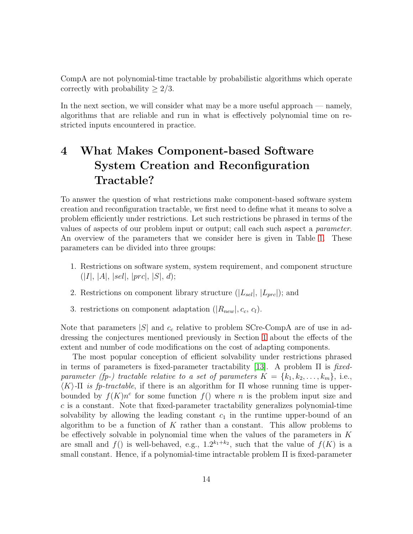CompA are not polynomial-time tractable by probabilistic algorithms which operate correctly with probability  $\geq 2/3$ .

In the next section, we will consider what may be a more useful approach — namely, algorithms that are reliable and run in what is effectively polynomial time on restricted inputs encountered in practice.

# <span id="page-13-0"></span>4 What Makes Component-based Software System Creation and Reconfiguration Tractable?

To answer the question of what restrictions make component-based software system creation and reconfiguration tractable, we first need to define what it means to solve a problem efficiently under restrictions. Let such restrictions be phrased in terms of the values of aspects of our problem input or output; call each such aspect a *parameter*. An overview of the parameters that we consider here is given in Table [1.](#page-11-0) These parameters can be divided into three groups:

- 1. Restrictions on software system, system requirement, and component structure  $(|I|, |A|, |sel|, |prc|, |S|, d);$
- 2. Restrictions on component library structure  $(|L_{sel}|, |L_{prc}|)$ ; and
- 3. restrictions on component adaptation  $(|R_{new}|, c_c, c_l)$ .

Note that parameters  $|S|$  and  $c_c$  relative to problem SCre-CompA are of use in addressing the conjectures mentioned previously in Section [1](#page-1-0) about the effects of the extent and number of code modifications on the cost of adapting components.

The most popular conception of efficient solvability under restrictions phrased in terms of parameters is fixed-parameter tractability [\[13\]](#page-22-5). A problem Π is *fixedparameter (fp-) tractable relative to a set of parameters*  $K = \{k_1, k_2, \ldots, k_m\}$ , i.e.,  $\langle K \rangle$ -Π *is fp-tractable*, if there is an algorithm for Π whose running time is upperbounded by  $f(K)n^c$  for some function  $f(n)$  where n is the problem input size and  $c$  is a constant. Note that fixed-parameter tractability generalizes polynomial-time solvability by allowing the leading constant  $c_1$  in the runtime upper-bound of an algorithm to be a function of K rather than a constant. This allow problems to be effectively solvable in polynomial time when the values of the parameters in  $K$ are small and  $f()$  is well-behaved, e.g.,  $1.2^{k_1+k_2}$ , such that the value of  $f(K)$  is a small constant. Hence, if a polynomial-time intractable problem  $\Pi$  is fixed-parameter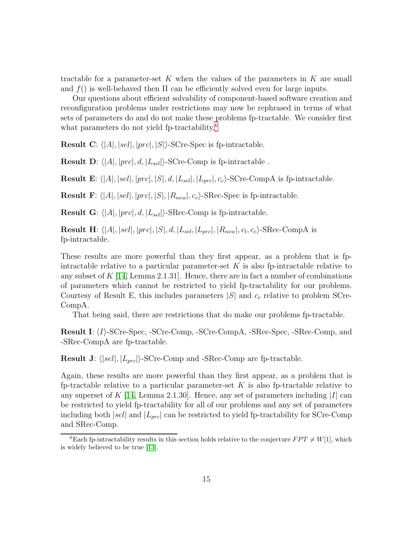tractable for a parameter-set K when the values of the parameters in K are small and  $f()$  is well-behaved then  $\Pi$  can be efficiently solved even for large inputs.

Our questions about efficient solvability of component-based software creation and reconfiguration problems under restrictions may now be rephrased in terms of what sets of parameters do and do not make these problems fp-tractable. We consider first what parameters do not yield fp-tractability.<sup>[6](#page-14-0)</sup>

**Result C:**  $\langle |A|, |sel|, |prc|, |S|\rangle$ -SCre-Spec is fp-intractable.

**Result D:**  $\langle |A|, |prc|, d, |L_{\text{sel}}|\rangle$ -SCre-Comp is fp-intractable.

**Result E:**  $\langle |A|, |sel|, |prc|, |S|, d, |L_{sel}|, |L_{mc}|, c_c \rangle$ -SCre-CompA is fp-intractable.

**Result F**:  $\langle |A|, |sel|, |prc|, |S|, |R_{new}|, c_c \rangle$ -SRec-Spec is fp-intractable.

**Result G:**  $\langle |A|, |prc|, d, |L_{sel}|\rangle$ -SRec-Comp is fp-intractable.

**Result H**:  $\langle |A|, |sel|, |prc|, |S|, d, |L_{sel}, |L_{prc}|, |R_{new}|, c_l, c_c \rangle$ -SRec-CompA is fp-intractable.

These results are more powerful than they first appear, as a problem that is fpintractable relative to a particular parameter-set  $K$  is also fp-intractable relative to any subset of  $K$  [\[14,](#page-22-6) Lemma 2.1.31]. Hence, there are in fact a number of combinations of parameters which cannot be restricted to yield fp-tractability for our problems. Courtesy of Result E, this includes parameters  $|S|$  and  $c_c$  relative to problem SCre-CompA.

That being said, there are restrictions that do make our problems fp-tractable.

**Result I:**  $\langle I \rangle$ -SCre-Spec, -SCre-Comp, -SCre-CompA, -SRec-Spec, -SRec-Comp, and -SRec-CompA are fp-tractable.

**Result J:**  $\langle |sel|, |L_{prc}| \rangle$ -SCre-Comp and -SRec-Comp are fp-tractable.

Again, these results are more powerful than they first appear, as a problem that is fp-tractable relative to a particular parameter-set  $K$  is also fp-tractable relative to any superset of  $K$  [\[14,](#page-22-6) Lemma 2.1.30]. Hence, any set of parameters including  $|I|$  can be restricted to yield fp-tractability for all of our problems and any set of parameters including both  $|sel|$  and  $|L_{prc}|$  can be restricted to yield fp-tractability for SCre-Comp and SRec-Comp.

<span id="page-14-0"></span><sup>&</sup>lt;sup>6</sup>Each fp-intractability results in this section holds relative to the conjecture  $FPT \neq W[1]$ , which is widely believed to be true [\[13\]](#page-22-5).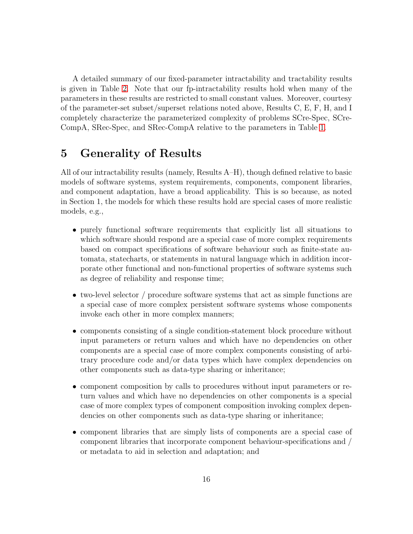A detailed summary of our fixed-parameter intractability and tractability results is given in Table [2.](#page-16-0) Note that our fp-intractability results hold when many of the parameters in these results are restricted to small constant values. Moreover, courtesy of the parameter-set subset/superset relations noted above, Results C, E, F, H, and I completely characterize the parameterized complexity of problems SCre-Spec, SCre-CompA, SRec-Spec, and SRec-CompA relative to the parameters in Table [1.](#page-11-0)

# <span id="page-15-0"></span>5 Generality of Results

All of our intractability results (namely, Results A–H), though defined relative to basic models of software systems, system requirements, components, component libraries, and component adaptation, have a broad applicability. This is so because, as noted in Section 1, the models for which these results hold are special cases of more realistic models, e.g.,

- purely functional software requirements that explicitly list all situations to which software should respond are a special case of more complex requirements based on compact specifications of software behaviour such as finite-state automata, statecharts, or statements in natural language which in addition incorporate other functional and non-functional properties of software systems such as degree of reliability and response time;
- two-level selector / procedure software systems that act as simple functions are a special case of more complex persistent software systems whose components invoke each other in more complex manners;
- components consisting of a single condition-statement block procedure without input parameters or return values and which have no dependencies on other components are a special case of more complex components consisting of arbitrary procedure code and/or data types which have complex dependencies on other components such as data-type sharing or inheritance;
- component composition by calls to procedures without input parameters or return values and which have no dependencies on other components is a special case of more complex types of component composition invoking complex dependencies on other components such as data-type sharing or inheritance;
- component libraries that are simply lists of components are a special case of component libraries that incorporate component behaviour-specifications and / or metadata to aid in selection and adaptation; and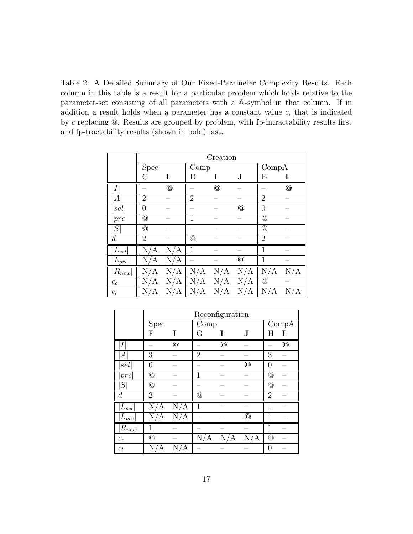<span id="page-16-0"></span>Table 2: A Detailed Summary of Our Fixed-Parameter Complexity Results. Each column in this table is a result for a particular problem which holds relative to the parameter-set consisting of all parameters with a @-symbol in that column. If in addition a result holds when a parameter has a constant value  $c$ , that is indicated by  $c$  replacing  $@.$  Results are grouped by problem, with fp-intractability results first and fp-tractability results (shown in bold) last.

|                    | Creation       |                |                 |            |                           |                 |                |  |
|--------------------|----------------|----------------|-----------------|------------|---------------------------|-----------------|----------------|--|
|                    | Spec           | Comp           |                 |            | $\overline{\text{Comp}}A$ |                 |                |  |
|                    | C              | I              | I)              | T          | J                         | Е               | Ι              |  |
| $\boldsymbol{I}$   |                | $^{\circ}$     |                 | $^{\circ}$ |                           |                 | $\circledcirc$ |  |
| А                  | $\overline{2}$ |                | $\overline{2}$  |            |                           | $\overline{2}$  |                |  |
| sel                | $\overline{0}$ |                |                 |            | $^{\circ}$                | $\theta$        |                |  |
| prc                | @              |                | $\overline{1}$  |            |                           | $\circledcirc$  |                |  |
| S                  | @              |                |                 |            |                           | $@$             |                |  |
| $\boldsymbol{d}$   | $\overline{2}$ |                | $@$             |            |                           | $\overline{2}$  |                |  |
| $L_{\mathit{sel}}$ | Ν<br>Α         | N<br>Α         | 1               |            |                           | 1               |                |  |
| $ L_{prc} $        | Ν<br>Α         | $\rm N$ /<br>Α |                 |            | $^{\copyright}$           | 1               |                |  |
| $ R_{new} $        | Ν<br>А         | Ν<br>Α         | $N_{\ell}$<br>А | N.<br>А    | N,<br>А                   | N,<br>Ά         | Ν<br>Α         |  |
| $c_c$              | Ν<br>Α         | Α              | Ν<br>А          | А          | Ν<br>Α                    | $^{\copyright}$ |                |  |
| $c_l$              | Α              | А              |                 |            | Ν<br>А                    | Ν<br>Α          | А              |  |

|                                 | Reconfiguration  |            |                |            |                 |                  |                 |
|---------------------------------|------------------|------------|----------------|------------|-----------------|------------------|-----------------|
|                                 | Spec             |            | Comp           |            |                 | CompA            |                 |
|                                 | F                | T          | G              | T          | J               | H                |                 |
|                                 |                  | $^{\circ}$ |                | $^{\circ}$ |                 |                  | $^{\copyright}$ |
| А                               | 3                |            | $\overline{2}$ |            |                 | 3                |                 |
| sel                             | $\left( \right)$ |            |                |            | $\circledcirc$  | $\left( \right)$ |                 |
| prc                             | $^\copyright$    |            | 1              |            |                 | @                |                 |
| $\, S \,$                       | $^{\copyright}$  |            |                |            |                 | @                |                 |
| $\boldsymbol{d}$                | $\overline{2}$   |            | $^{\circledR}$ |            |                 | $\overline{2}$   |                 |
| $L_{sel}$                       | Ν<br>Ά           | Ν<br>Α     | $\mathbf{1}$   |            |                 | 1                |                 |
| $L_{prc}$                       | Ν<br>/A          | N,<br>Ά    |                |            | $^{\copyright}$ |                  |                 |
| $R_{\underline{new}}$           |                  |            |                |            |                 | 1                |                 |
| $\ensuremath{\mathnormal{c}}_c$ | $^{\copyright}$  |            | N<br>А         | А          | Α               | @                |                 |
| $c_l$                           |                  |            |                |            |                 |                  |                 |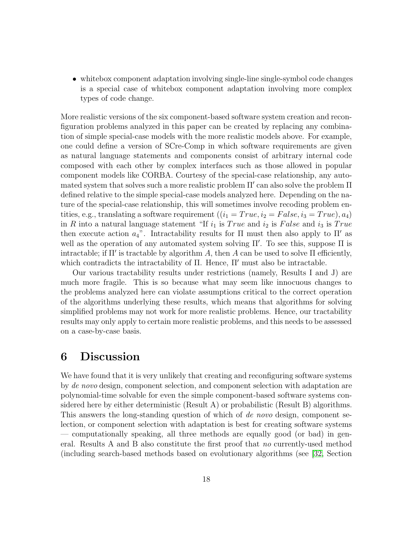• whitebox component adaptation involving single-line single-symbol code changes is a special case of whitebox component adaptation involving more complex types of code change.

More realistic versions of the six component-based software system creation and reconfiguration problems analyzed in this paper can be created by replacing any combination of simple special-case models with the more realistic models above. For example, one could define a version of SCre-Comp in which software requirements are given as natural language statements and components consist of arbitrary internal code composed with each other by complex interfaces such as those allowed in popular component models like CORBA. Courtesy of the special-case relationship, any automated system that solves such a more realistic problem Π′ can also solve the problem Π defined relative to the simple special-case models analyzed here. Depending on the nature of the special-case relationship, this will sometimes involve recoding problem entities, e.g., translating a software requirement  $((i_1 = True, i_2 = False, i_3 = True), a_4)$ in R into a natural language statement "If  $i_1$  is True and  $i_2$  is False and  $i_3$  is True then execute action  $a_4$ ". Intractability results for  $\Pi$  must then also apply to  $\Pi'$  as well as the operation of any automated system solving Π′ . To see this, suppose Π is intractable; if  $\Pi'$  is tractable by algorithm A, then A can be used to solve  $\Pi$  efficiently, which contradicts the intractability of  $\Pi$ . Hence,  $\Pi'$  must also be intractable.

Our various tractability results under restrictions (namely, Results I and J) are much more fragile. This is so because what may seem like innocuous changes to the problems analyzed here can violate assumptions critical to the correct operation of the algorithms underlying these results, which means that algorithms for solving simplified problems may not work for more realistic problems. Hence, our tractability results may only apply to certain more realistic problems, and this needs to be assessed on a case-by-case basis.

# <span id="page-17-0"></span>6 Discussion

We have found that it is very unlikely that creating and reconfiguring software systems by *de novo* design, component selection, and component selection with adaptation are polynomial-time solvable for even the simple component-based software systems considered here by either deterministic (Result A) or probabilistic (Result B) algorithms. This answers the long-standing question of which of *de novo* design, component selection, or component selection with adaptation is best for creating software systems — computationally speaking, all three methods are equally good (or bad) in general. Results A and B also constitute the first proof that *no* currently-used method (including search-based methods based on evolutionary algorithms (see [\[32,](#page-24-1) Section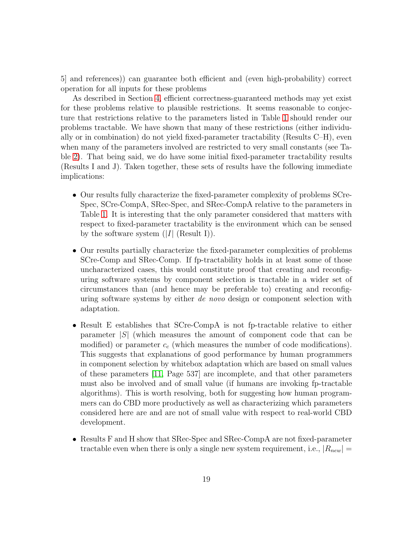5] and references)) can guarantee both efficient and (even high-probability) correct operation for all inputs for these problems

As described in Section [4,](#page-13-0) efficient correctness-guaranteed methods may yet exist for these problems relative to plausible restrictions. It seems reasonable to conjecture that restrictions relative to the parameters listed in Table [1](#page-11-0) should render our problems tractable. We have shown that many of these restrictions (either individually or in combination) do not yield fixed-parameter tractability (Results C–H), even when many of the parameters involved are restricted to very small constants (see Table [2\)](#page-16-0). That being said, we do have some initial fixed-parameter tractability results (Results I and J). Taken together, these sets of results have the following immediate implications:

- Our results fully characterize the fixed-parameter complexity of problems SCre-Spec, SCre-CompA, SRec-Spec, and SRec-CompA relative to the parameters in Table [1.](#page-11-0) It is interesting that the only parameter considered that matters with respect to fixed-parameter tractability is the environment which can be sensed by the software system  $(|I|$  (Result I)).
- Our results partially characterize the fixed-parameter complexities of problems SCre-Comp and SRec-Comp. If fp-tractability holds in at least some of those uncharacterized cases, this would constitute proof that creating and reconfiguring software systems by component selection is tractable in a wider set of circumstances than (and hence may be preferable to) creating and reconfiguring software systems by either *de novo* design or component selection with adaptation.
- Result E establishes that SCre-CompA is not fp-tractable relative to either parameter  $|S|$  (which measures the amount of component code that can be modified) or parameter  $c_c$  (which measures the number of code modifications). This suggests that explanations of good performance by human programmers in component selection by whitebox adaptation which are based on small values of these parameters [\[11,](#page-22-3) Page 537] are incomplete, and that other parameters must also be involved and of small value (if humans are invoking fp-tractable algorithms). This is worth resolving, both for suggesting how human programmers can do CBD more productively as well as characterizing which parameters considered here are and are not of small value with respect to real-world CBD development.
- Results F and H show that SRec-Spec and SRec-CompA are not fixed-parameter tractable even when there is only a single new system requirement, i.e.,  $|R_{new}| =$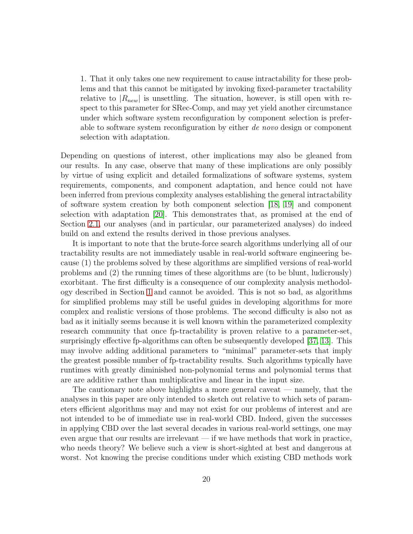1. That it only takes one new requirement to cause intractability for these problems and that this cannot be mitigated by invoking fixed-parameter tractability relative to  $|R_{new}|$  is unsettling. The situation, however, is still open with respect to this parameter for SRec-Comp, and may yet yield another circumstance under which software system reconfiguration by component selection is preferable to software system reconfiguration by either *de novo* design or component selection with adaptation.

Depending on questions of interest, other implications may also be gleaned from our results. In any case, observe that many of these implications are only possibly by virtue of using explicit and detailed formalizations of software systems, system requirements, components, and component adaptation, and hence could not have been inferred from previous complexity analyses establishing the general intractability of software system creation by both component selection [\[18,](#page-22-10) [19\]](#page-22-11) and component selection with adaptation [\[20\]](#page-23-0). This demonstrates that, as promised at the end of Section [2.1,](#page-4-2) our analyses (and in particular, our parameterized analyses) do indeed build on and extend the results derived in those previous analyses.

It is important to note that the brute-force search algorithms underlying all of our tractability results are not immediately usable in real-world software engineering because (1) the problems solved by these algorithms are simplified versions of real-world problems and (2) the running times of these algorithms are (to be blunt, ludicrously) exorbitant. The first difficulty is a consequence of our complexity analysis methodology described in Section [1](#page-1-0) and cannot be avoided. This is not so bad, as algorithms for simplified problems may still be useful guides in developing algorithms for more complex and realistic versions of those problems. The second difficulty is also not as bad as it initially seems because it is well known within the parameterized complexity research community that once fp-tractability is proven relative to a parameter-set, surprisingly effective fp-algorithms can often be subsequently developed [\[37,](#page-24-7) [13\]](#page-22-5). This may involve adding additional parameters to "minimal" parameter-sets that imply the greatest possible number of fp-tractability results. Such algorithms typically have runtimes with greatly diminished non-polynomial terms and polynomial terms that are are additive rather than multiplicative and linear in the input size.

The cautionary note above highlights a more general caveat — namely, that the analyses in this paper are only intended to sketch out relative to which sets of parameters efficient algorithms may and may not exist for our problems of interest and are not intended to be of immediate use in real-world CBD. Indeed, given the successes in applying CBD over the last several decades in various real-world settings, one may even argue that our results are irrelevant — if we have methods that work in practice, who needs theory? We believe such a view is short-sighted at best and dangerous at worst. Not knowing the precise conditions under which existing CBD methods work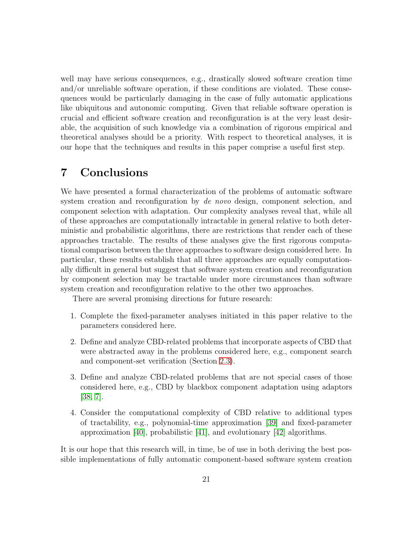well may have serious consequences, e.g., drastically slowed software creation time and/or unreliable software operation, if these conditions are violated. These consequences would be particularly damaging in the case of fully automatic applications like ubiquitous and autonomic computing. Given that reliable software operation is crucial and efficient software creation and reconfiguration is at the very least desirable, the acquisition of such knowledge via a combination of rigorous empirical and theoretical analyses should be a priority. With respect to theoretical analyses, it is our hope that the techniques and results in this paper comprise a useful first step.

# <span id="page-20-0"></span>7 Conclusions

We have presented a formal characterization of the problems of automatic software system creation and reconfiguration by *de novo* design, component selection, and component selection with adaptation. Our complexity analyses reveal that, while all of these approaches are computationally intractable in general relative to both deterministic and probabilistic algorithms, there are restrictions that render each of these approaches tractable. The results of these analyses give the first rigorous computational comparison between the three approaches to software design considered here. In particular, these results establish that all three approaches are equally computationally difficult in general but suggest that software system creation and reconfiguration by component selection may be tractable under more circumstances than software system creation and reconfiguration relative to the other two approaches.

There are several promising directions for future research:

- 1. Complete the fixed-parameter analyses initiated in this paper relative to the parameters considered here.
- 2. Define and analyze CBD-related problems that incorporate aspects of CBD that were abstracted away in the problems considered here, e.g., component search and component-set verification (Section [2.3\)](#page-9-0).
- 3. Define and analyze CBD-related problems that are not special cases of those considered here, e.g., CBD by blackbox component adaptation using adaptors [\[38,](#page-24-8) [7\]](#page-21-6).
- 4. Consider the computational complexity of CBD relative to additional types of tractability, e.g., polynomial-time approximation [\[39\]](#page-24-9) and fixed-parameter approximation  $[40]$ , probabilistic  $[41]$ , and evolutionary  $[42]$  algorithms.

It is our hope that this research will, in time, be of use in both deriving the best possible implementations of fully automatic component-based software system creation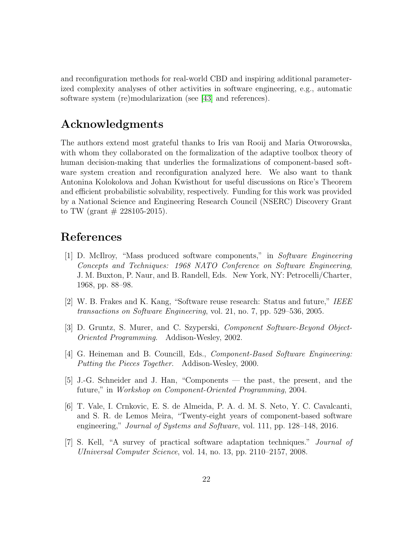and reconfiguration methods for real-world CBD and inspiring additional parameterized complexity analyses of other activities in software engineering, e.g., automatic software system (re)modularization (see [\[43\]](#page-25-2) and references).

# Acknowledgments

The authors extend most grateful thanks to Iris van Rooij and Maria Otworowska, with whom they collaborated on the formalization of the adaptive toolbox theory of human decision-making that underlies the formalizations of component-based software system creation and reconfiguration analyzed here. We also want to thank Antonina Kolokolova and Johan Kwisthout for useful discussions on Rice's Theorem and efficient probabilistic solvability, respectively. Funding for this work was provided by a National Science and Engineering Research Council (NSERC) Discovery Grant to TW (grant  $\#$  228105-2015).

## <span id="page-21-0"></span>References

- [1] D. McIlroy, "Mass produced software components," in *Software Engineering Concepts and Techniques: 1968 NATO Conference on Software Engineering*, J. M. Buxton, P. Naur, and B. Randell, Eds. New York, NY: Petrocelli/Charter, 1968, pp. 88–98.
- <span id="page-21-2"></span><span id="page-21-1"></span>[2] W. B. Frakes and K. Kang, "Software reuse research: Status and future," *IEEE transactions on Software Engineering*, vol. 21, no. 7, pp. 529–536, 2005.
- <span id="page-21-3"></span>[3] D. Gruntz, S. Murer, and C. Szyperski, *Component Software-Beyond Object-Oriented Programming*. Addison-Wesley, 2002.
- [4] G. Heineman and B. Councill, Eds., *Component-Based Software Engineering: Putting the Pieces Together*. Addison-Wesley, 2000.
- <span id="page-21-4"></span>[5] J.-G. Schneider and J. Han, "Components — the past, the present, and the future," in *Workshop on Component-Oriented Programming*, 2004.
- <span id="page-21-5"></span>[6] T. Vale, I. Crnkovic, E. S. de Almeida, P. A. d. M. S. Neto, Y. C. Cavalcanti, and S. R. de Lemos Meira, "Twenty-eight years of component-based software engineering," *Journal of Systems and Software*, vol. 111, pp. 128–148, 2016.
- <span id="page-21-6"></span>[7] S. Kell, "A survey of practical software adaptation techniques." *Journal of UIniversal Computer Science*, vol. 14, no. 13, pp. 2110–2157, 2008.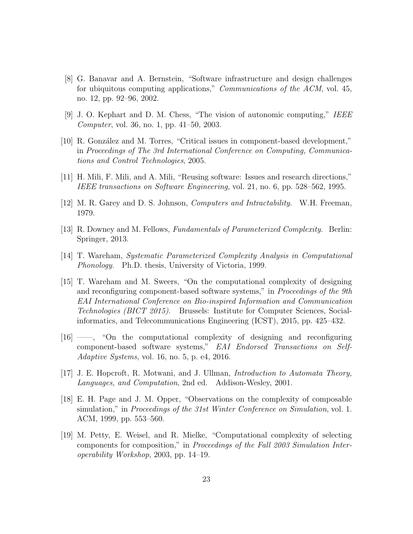- <span id="page-22-0"></span>[8] G. Banavar and A. Bernstein, "Software infrastructure and design challenges for ubiquitous computing applications," *Communications of the ACM*, vol. 45, no. 12, pp. 92–96, 2002.
- <span id="page-22-2"></span><span id="page-22-1"></span>[9] J. O. Kephart and D. M. Chess, "The vision of autonomic computing," *IEEE Computer*, vol. 36, no. 1, pp. 41–50, 2003.
- [10] R. González and M. Torres, "Critical issues in component-based development," in *Proceedings of The 3rd International Conference on Computing, Communications and Control Technologies*, 2005.
- <span id="page-22-4"></span><span id="page-22-3"></span>[11] H. Mili, F. Mili, and A. Mili, "Reusing software: Issues and research directions," *IEEE transactions on Software Engineering*, vol. 21, no. 6, pp. 528–562, 1995.
- <span id="page-22-5"></span>[12] M. R. Garey and D. S. Johnson, *Computers and Intractability*. W.H. Freeman, 1979.
- <span id="page-22-6"></span>[13] R. Downey and M. Fellows, *Fundamentals of Parameterized Complexity*. Berlin: Springer, 2013.
- <span id="page-22-7"></span>[14] T. Wareham, *Systematic Parameterized Complexity Analysis in Computational Phonology*. Ph.D. thesis, University of Victoria, 1999.
- [15] T. Wareham and M. Sweers, "On the computational complexity of designing and reconfiguring component-based software systems," in *Proceedings of the 9th EAI International Conference on Bio-inspired Information and Communication Technologies (BICT 2015)*. Brussels: Institute for Computer Sciences, Socialinformatics, and Telecommunications Engineering (ICST), 2015, pp. 425–432.
- <span id="page-22-8"></span>[16] ——, "On the computational complexity of designing and reconfiguring component-based software systems," *EAI Endorsed Transactions on Self-Adaptive Systems*, vol. 16, no. 5, p. e4, 2016.
- <span id="page-22-10"></span><span id="page-22-9"></span>[17] J. E. Hopcroft, R. Motwani, and J. Ullman, *Introduction to Automata Theory, Languages, and Computation*, 2nd ed. Addison-Wesley, 2001.
- [18] E. H. Page and J. M. Opper, "Observations on the complexity of composable simulation," in *Proceedings of the 31st Winter Conference on Simulation*, vol. 1. ACM, 1999, pp. 553–560.
- <span id="page-22-11"></span>[19] M. Petty, E. Weisel, and R. Mielke, "Computational complexity of selecting components for composition," in *Proceedings of the Fall 2003 Simulation Interoperability Workshop*, 2003, pp. 14–19.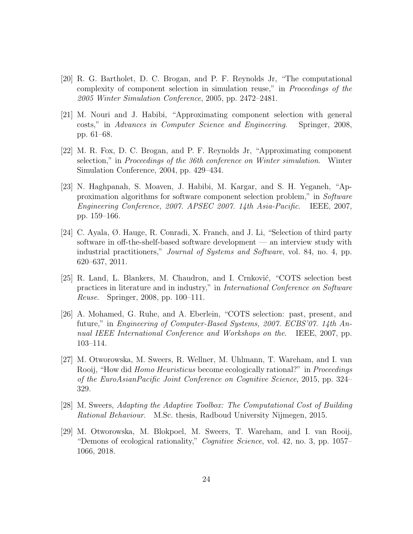- <span id="page-23-0"></span>[20] R. G. Bartholet, D. C. Brogan, and P. F. Reynolds Jr, "The computational complexity of component selection in simulation reuse," in *Proceedings of the 2005 Winter Simulation Conference*, 2005, pp. 2472–2481.
- <span id="page-23-1"></span>[21] M. Nouri and J. Habibi, "Approximating component selection with general costs," in *Advances in Computer Science and Engineering*. Springer, 2008, pp. 61–68.
- <span id="page-23-2"></span>[22] M. R. Fox, D. C. Brogan, and P. F. Reynolds Jr, "Approximating component selection," in *Proceedings of the 36th conference on Winter simulation*. Winter Simulation Conference, 2004, pp. 429–434.
- <span id="page-23-3"></span>[23] N. Haghpanah, S. Moaven, J. Habibi, M. Kargar, and S. H. Yeganeh, "Approximation algorithms for software component selection problem," in *Software Engineering Conference, 2007. APSEC 2007. 14th Asia-Pacific*. IEEE, 2007, pp. 159–166.
- <span id="page-23-4"></span>[24] C. Ayala, Ø. Hauge, R. Conradi, X. Franch, and J. Li, "Selection of third party software in off-the-shelf-based software development — an interview study with industrial practitioners," *Journal of Systems and Software*, vol. 84, no. 4, pp. 620–637, 2011.
- <span id="page-23-5"></span>[25] R. Land, L. Blankers, M. Chaudron, and I. Crnković, "COTS selection best practices in literature and in industry," in *International Conference on Software Reuse*. Springer, 2008, pp. 100–111.
- <span id="page-23-6"></span>[26] A. Mohamed, G. Ruhe, and A. Eberlein, "COTS selection: past, present, and future," in *Engineering of Computer-Based Systems, 2007. ECBS'07. 14th Annual IEEE International Conference and Workshops on the*. IEEE, 2007, pp. 103–114.
- <span id="page-23-7"></span>[27] M. Otworowska, M. Sweers, R. Wellner, M. Uhlmann, T. Wareham, and I. van Rooij, "How did *Homo Heuristicus* become ecologically rational?" in *Proceedings of the EuroAsianPacific Joint Conference on Cognitive Science*, 2015, pp. 324– 329.
- <span id="page-23-9"></span><span id="page-23-8"></span>[28] M. Sweers, *Adapting the Adaptive Toolbox: The Computational Cost of Building Rational Behaviour*. M.Sc. thesis, Radboud University Nijmegen, 2015.
- [29] M. Otworowska, M. Blokpoel, M. Sweers, T. Wareham, and I. van Rooij, "Demons of ecological rationality," *Cognitive Science*, vol. 42, no. 3, pp. 1057– 1066, 2018.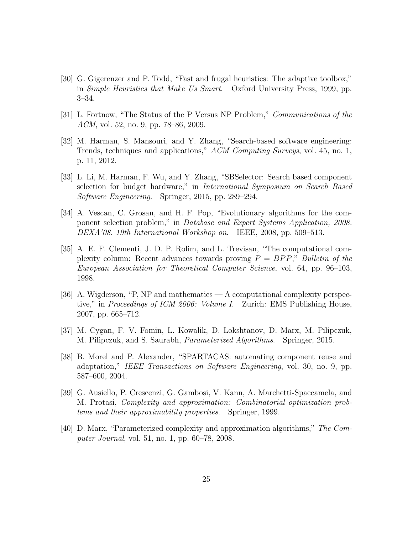- <span id="page-24-0"></span>[30] G. Gigerenzer and P. Todd, "Fast and frugal heuristics: The adaptive toolbox," in *Simple Heuristics that Make Us Smart*. Oxford University Press, 1999, pp. 3–34.
- <span id="page-24-4"></span><span id="page-24-1"></span>[31] L. Fortnow, "The Status of the P Versus NP Problem," *Communications of the ACM*, vol. 52, no. 9, pp. 78–86, 2009.
- [32] M. Harman, S. Mansouri, and Y. Zhang, "Search-based software engineering: Trends, techniques and applications," *ACM Computing Surveys*, vol. 45, no. 1, p. 11, 2012.
- <span id="page-24-2"></span>[33] L. Li, M. Harman, F. Wu, and Y. Zhang, "SBSelector: Search based component selection for budget hardware," in *International Symposium on Search Based Software Engineering*. Springer, 2015, pp. 289–294.
- <span id="page-24-3"></span>[34] A. Vescan, C. Grosan, and H. F. Pop, "Evolutionary algorithms for the component selection problem," in *Database and Expert Systems Application, 2008. DEXA'08. 19th International Workshop on*. IEEE, 2008, pp. 509–513.
- <span id="page-24-5"></span>[35] A. E. F. Clementi, J. D. P. Rolim, and L. Trevisan, "The computational complexity column: Recent advances towards proving P = BP P," *Bulletin of the European Association for Theoretical Computer Science*, vol. 64, pp. 96–103, 1998.
- <span id="page-24-6"></span>[36] A. Wigderson, "P, NP and mathematics — A computational complexity perspective," in *Proceedings of ICM 2006: Volume I*. Zurich: EMS Publishing House, 2007, pp. 665–712.
- <span id="page-24-8"></span><span id="page-24-7"></span>[37] M. Cygan, F. V. Fomin, L. Kowalik, D. Lokshtanov, D. Marx, M. Pilipczuk, M. Pilipczuk, and S. Saurabh, *Parameterized Algorithms*. Springer, 2015.
- [38] B. Morel and P. Alexander, "SPARTACAS: automating component reuse and adaptation," *IEEE Transactions on Software Engineering*, vol. 30, no. 9, pp. 587–600, 2004.
- <span id="page-24-9"></span>[39] G. Ausiello, P. Crescenzi, G. Gambosi, V. Kann, A. Marchetti-Spaccamela, and M. Protasi, *Complexity and approximation: Combinatorial optimization problems and their approximability properties*. Springer, 1999.
- <span id="page-24-10"></span>[40] D. Marx, "Parameterized complexity and approximation algorithms," *The Computer Journal*, vol. 51, no. 1, pp. 60–78, 2008.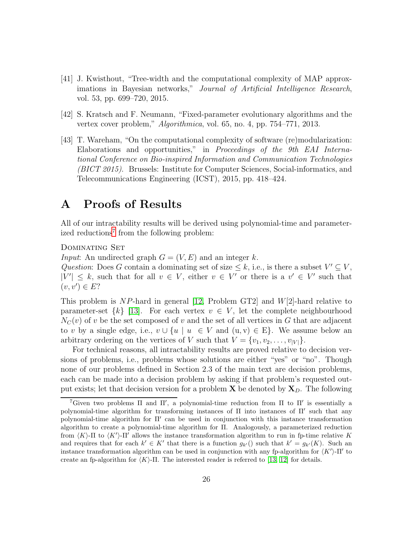- <span id="page-25-0"></span>[41] J. Kwisthout, "Tree-width and the computational complexity of MAP approximations in Bayesian networks," *Journal of Artificial Intelligence Research*, vol. 53, pp. 699–720, 2015.
- <span id="page-25-2"></span><span id="page-25-1"></span>[42] S. Kratsch and F. Neumann, "Fixed-parameter evolutionary algorithms and the vertex cover problem," *Algorithmica*, vol. 65, no. 4, pp. 754–771, 2013.
- [43] T. Wareham, "On the computational complexity of software (re)modularization: Elaborations and opportunities," in *Proceedings of the 9th EAI International Conference on Bio-inspired Information and Communication Technologies (BICT 2015)*. Brussels: Institute for Computer Sciences, Social-informatics, and Telecommunications Engineering (ICST), 2015, pp. 418–424.

# A Proofs of Results

All of our intractability results will be derived using polynomial-time and parameter-ized reductions<sup>[7](#page-25-3)</sup> from the following problem:

Dominating Set

*Input*: An undirected graph  $G = (V, E)$  and an integer k.

*Question*: Does G contain a dominating set of size  $\leq k$ , i.e., is there a subset  $V' \subseteq V$ ,  $|V'| \leq k$ , such that for all  $v \in V$ , either  $v \in V'$  or there is a  $v' \in V'$  such that  $(v, v') \in E?$ 

This problem is NP-hard in general [\[12,](#page-22-4) Problem GT2] and  $W[2]$ -hard relative to parameter-set  $\{k\}$  [\[13\]](#page-22-5). For each vertex  $v \in V$ , let the complete neighbourhood  $N<sub>C</sub>(v)$  of v be the set composed of v and the set of all vertices in G that are adjacent to v by a single edge, i.e.,  $v \cup \{u \mid u \in V \text{ and } (u, v) \in E\}$ . We assume below an arbitrary ordering on the vertices of V such that  $V = \{v_1, v_2, \ldots, v_{|V|}\}.$ 

For technical reasons, all intractability results are proved relative to decision versions of problems, i.e., problems whose solutions are either "yes" or "no". Though none of our problems defined in Section 2.3 of the main text are decision problems, each can be made into a decision problem by asking if that problem's requested output exists; let that decision version for a problem  $X$  be denoted by  $X_D$ . The following

<span id="page-25-3"></span><sup>&</sup>lt;sup>7</sup>Given two problems  $\Pi$  and  $\Pi'$ , a polynomial-time reduction from  $\Pi$  to  $\Pi'$  is essentially a polynomial-time algorithm for transforming instances of Π into instances of Π′ such that any polynomial-time algorithm for Π′ can be used in conjunction with this instance transformation algorithm to create a polynomial-time algorithm for Π. Analogously, a parameterized reduction from  $\langle K \rangle$ -Π to  $\langle K' \rangle$ -Π' allows the instance transformation algorithm to run in fp-time relative K and requires that for each  $k' \in K'$  that there is a function  $g_{k'}$  () such that  $k' = g_{k'}(K)$ . Such an instance transformation algorithm can be used in conjunction with any fp-algorithm for  $\langle K' \rangle$ -Π' to create an fp-algorithm for  $\langle K \rangle$ -Π. The interested reader is referred to [\[13,](#page-22-5) [12\]](#page-22-4) for details.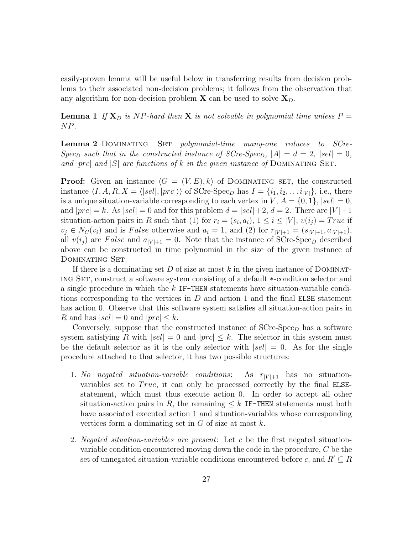easily-proven lemma will be useful below in transferring results from decision problems to their associated non-decision problems; it follows from the observation that any algorithm for non-decision problem  $X$  can be used to solve  $X_D$ .

<span id="page-26-1"></span>**Lemma 1** If  $X_D$  *is* NP-hard then X *is not solvable in polynomial time unless*  $P =$ NP*.*

<span id="page-26-0"></span>Lemma 2 Dominating Set *polynomial-time many-one reduces to SCre-Spec*<sub>D</sub> such that in the constructed instance of  $SCre-Spec<sub>D</sub>$ ,  $|A| = d = 2$ ,  $|sel| = 0$ , *and*  $|prc|$  *and*  $|S|$  *are functions of* k *in the given instance of* DOMINATING SET.

**Proof:** Given an instance  $\langle G = (V, E), k \rangle$  of DOMINATING SET, the constructed instance  $\langle I, A, R, X = \langle |sel|, |prc| \rangle \rangle$  of SCre-Spec<sub>D</sub> has  $I = \{i_1, i_2, \ldots i_{|V|}\},$  i.e., there is a unique situation-variable corresponding to each vertex in  $V, A = \{0, 1\}, |sel| = 0$ , and  $|prc| = k$ . As  $|sel| = 0$  and for this problem  $d = |sel| + 2$ ,  $d = 2$ . There are  $|V| + 1$ situation-action pairs in R such that (1) for  $r_i = (s_i, a_i)$ ,  $1 \leq i \leq |V|$ ,  $v(i_j) = True$  if  $v_j \in N_C(v_i)$  and is False otherwise and  $a_i = 1$ , and (2) for  $r_{|V|+1} = (s_{|V|+1}, a_{|V|+1}),$ all  $v(i_j)$  are False and  $a_{|V|+1} = 0$ . Note that the instance of SCre-Spec<sub>D</sub> described above can be constructed in time polynomial in the size of the given instance of Dominating Set.

If there is a dominating set D of size at most k in the given instance of DOMINATing Set, construct a software system consisting of a default \*-condition selector and a single procedure in which the k IF-THEN statements have situation-variable conditions corresponding to the vertices in  $D$  and action 1 and the final ELSE statement has action 0. Observe that this software system satisfies all situation-action pairs in R and has  $|sel| = 0$  and  $|prc| \leq k$ .

Conversely, suppose that the constructed instance of  $SCre-Spec<sub>D</sub>$  has a software system satisfying R with  $|sel| = 0$  and  $|prc| \leq k$ . The selector in this system must be the default selector as it is the only selector with  $|sel| = 0$ . As for the single procedure attached to that selector, it has two possible structures:

- 1. *No negated situation-variable conditions*: As  $r_{|V|+1}$  has no situationvariables set to  $True$ , it can only be processed correctly by the final ELSEstatement, which must thus execute action 0. In order to accept all other situation-action pairs in R, the remaining  $\leq k$  IF-THEN statements must both have associated executed action 1 and situation-variables whose corresponding vertices form a dominating set in  $G$  of size at most  $k$ .
- 2. *Negated situation-variables are present*: Let c be the first negated situationvariable condition encountered moving down the code in the procedure, C be the set of unnegated situation-variable conditions encountered before c, and  $R' \subseteq R$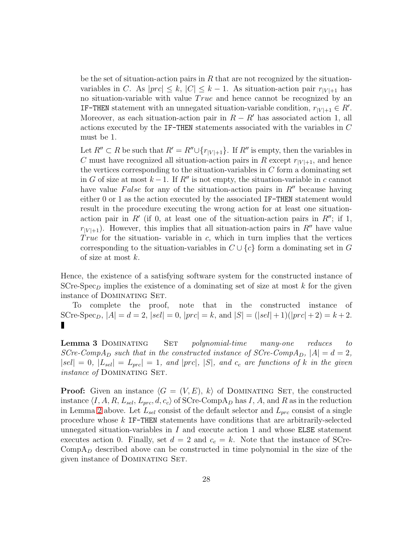be the set of situation-action pairs in  $R$  that are not recognized by the situationvariables in C. As  $|prc| \leq k$ ,  $|C| \leq k-1$ . As situation-action pair  $r_{|V|+1}$  has no situation-variable with value True and hence cannot be recognized by an **IF-THEN** statement with an unnegated situation-variable condition,  $r_{|V|+1} \in R'$ . Moreover, as each situation-action pair in  $R - R'$  has associated action 1, all actions executed by the IF-THEN statements associated with the variables in C must be 1.

Let  $R'' \subset R$  be such that  $R' = R'' \cup \{r_{|V|+1}\}.$  If  $R''$  is empty, then the variables in C must have recognized all situation-action pairs in R except  $r_{|V|+1}$ , and hence the vertices corresponding to the situation-variables in  $C$  form a dominating set in G of size at most  $k-1$ . If R'' is not empty, the situation-variable in c cannot have value False for any of the situation-action pairs in  $R''$  because having either 0 or 1 as the action executed by the associated IF-THEN statement would result in the procedure executing the wrong action for at least one situationaction pair in  $R'$  (if 0, at least one of the situation-action pairs in  $R''$ ; if 1,  $r_{|V|+1}$ . However, this implies that all situation-action pairs in R'' have value True for the situation-variable in  $c$ , which in turn implies that the vertices corresponding to the situation-variables in  $C \cup \{c\}$  form a dominating set in G of size at most k.

Hence, the existence of a satisfying software system for the constructed instance of SCre-Spec<sub>D</sub> implies the existence of a dominating set of size at most  $k$  for the given instance of Dominating Set.

<span id="page-27-0"></span>To complete the proof, note that in the constructed instance of SCre-Spec<sub>D</sub>,  $|A| = d = 2$ ,  $|sel| = 0$ ,  $|prc| = k$ , and  $|S| = (|sel| + 1)(|prc| + 2) = k + 2$ . П

Lemma 3 Dominating Set *polynomial-time many-one reduces to SCre-CompA*<sub>D</sub> *such that in the constructed instance of SCre-CompA*<sub>D</sub>,  $|A| = d = 2$ ,  $|sel| = 0$ ,  $|L_{sel}| = L_{prc}| = 1$ , and  $|prc|$ ,  $|S|$ , and  $c_c$  are functions of k in the given *instance of* DOMINATING SET.

**Proof:** Given an instance  $\langle G = (V, E), k \rangle$  of DOMINATING SET, the constructed instance  $\langle I, A, R, L_{sel}, L_{prc}, d, c_c \rangle$  of SCre-CompA<sub>D</sub> has I, A, and R as in the reduction in Lemma [2](#page-26-0) above. Let  $L_{sel}$  consist of the default selector and  $L_{prc}$  consist of a single procedure whose k IF-THEN statements have conditions that are arbitrarily-selected unnegated situation-variables in  $I$  and execute action 1 and whose ELSE statement executes action 0. Finally, set  $d = 2$  and  $c_c = k$ . Note that the instance of SCre- $\mathrm{CompA}_D$  described above can be constructed in time polynomial in the size of the given instance of DOMINATING SET.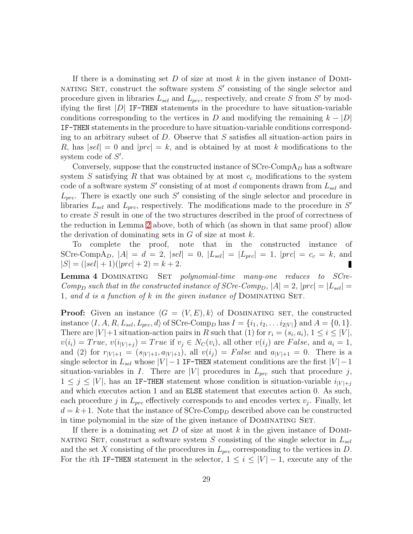If there is a dominating set D of size at most k in the given instance of DOMI-NATING SET, construct the software system  $S'$  consisting of the single selector and procedure given in libraries  $L_{sel}$  and  $L_{prc}$ , respectively, and create S from S' by modifying the first  $|D|$  IF-THEN statements in the procedure to have situation-variable conditions corresponding to the vertices in D and modifying the remaining  $k - |D|$ IF-THEN statements in the procedure to have situation-variable conditions corresponding to an arbitrary subset of D. Observe that  $S$  satisfies all situation-action pairs in R, has  $|sel| = 0$  and  $|prc| = k$ , and is obtained by at most k modifications to the system code of  $S'$ .

Conversely, suppose that the constructed instance of  $S$ Cre-Comp $A_D$  has a software system S satisfying R that was obtained by at most  $c_c$  modifications to the system code of a software system  $S'$  consisting of at most d components drawn from  $L_{sel}$  and  $L_{prc}$ . There is exactly one such S' consisting of the single selector and procedure in libraries  $L_{sel}$  and  $L_{prc}$ , respectively. The modifications made to the procedure in  $S'$ to create S result in one of the two structures described in the proof of correctness of the reduction in Lemma [2](#page-26-0) above, both of which (as shown in that same proof) allow the derivation of dominating sets in  $G$  of size at most  $k$ .

<span id="page-28-0"></span>To complete the proof, note that in the constructed instance of SCre-CompA<sub>D</sub>,  $|A| = d = 2$ ,  $|sel| = 0$ ,  $|L_{sel}| = |L_{prc}| = 1$ ,  $|prc| = c_c = k$ , and  $|S| = (|sel| + 1)(|prc| + 2) = k + 2.$ 

Lemma 4 Dominating Set *polynomial-time many-one reduces to SCre-Comp*<sub>D</sub> such that in the constructed instance of SCre-Comp<sub>D</sub>,  $|A| = 2$ ,  $|prc| = |L_{sel}| =$ 1*, and* d *is a function of* k *in the given instance of* Dominating Set*.*

**Proof:** Given an instance  $\langle G = (V, E), k \rangle$  of DOMINATING SET, the constructed instance  $\langle I, A, R, L_{sel}, L_{prc}, d \rangle$  of SCre-Comp<sub>D</sub> has  $I = \{i_1, i_2, \ldots i_{2|V|}\}$  and  $A = \{0, 1\}.$ There are  $|V|+1$  situation-action pairs in R such that (1) for  $r_i = (s_i, a_i), 1 \le i \le |V|$ ,  $v(i_i) = True, v(i_{|V|+i}) = True$  if  $v_i \in N_C(v_i)$ , all other  $v(i_j)$  are False, and  $a_i = 1$ , and (2) for  $r_{|V|+1} = (s_{|V|+1}, a_{|V|+1})$ , all  $v(i_j) = False$  and  $a_{|V|+1} = 0$ . There is a single selector in  $L_{sel}$  whose  $|V| - 1$  IF-THEN statement conditions are the first  $|V| - 1$ situation-variables in I. There are |V| procedures in  $L_{prc}$  such that procedure j,  $1 \leq j \leq |V|$ , has an IF-THEN statement whose condition is situation-variable  $i_{|V|+j}$ and which executes action 1 and an ELSE statement that executes action 0. As such, each procedure j in  $L_{prc}$  effectively corresponds to and encodes vertex  $v_j$ . Finally, let  $d = k+1$ . Note that the instance of SCre-Comp<sub>D</sub> described above can be constructed in time polynomial in the size of the given instance of DOMINATING SET.

If there is a dominating set D of size at most k in the given instance of DOMI-NATING SET, construct a software system S consisting of the single selector in  $L_{sel}$ and the set X consisting of the procedures in  $L_{prc}$  corresponding to the vertices in D. For the *i*th IF-THEN statement in the selector,  $1 \leq i \leq |V| - 1$ , execute any of the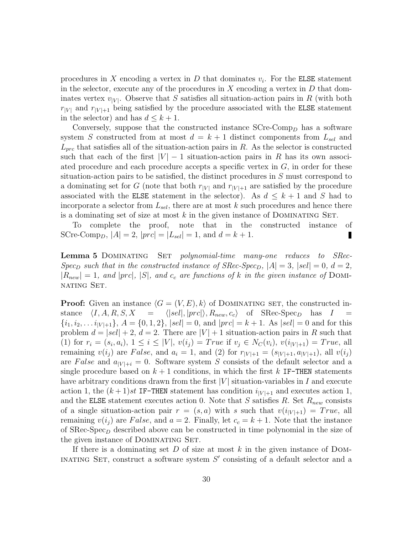procedures in X encoding a vertex in D that dominates  $v_i$ . For the **ELSE** statement in the selector, execute any of the procedures in  $X$  encoding a vertex in  $D$  that dominates vertex  $v_{|V|}$ . Observe that S satisfies all situation-action pairs in R (with both  $r_{|V|}$  and  $r_{|V|+1}$  being satisfied by the procedure associated with the ELSE statement in the selector) and has  $d \leq k+1$ .

Conversely, suppose that the constructed instance  $S$ Cre-Comp<sub>D</sub> has a software system S constructed from at most  $d = k + 1$  distinct components from  $L_{sel}$  and  $L_{prc}$  that satisfies all of the situation-action pairs in R. As the selector is constructed such that each of the first  $|V| - 1$  situation-action pairs in R has its own associated procedure and each procedure accepts a specific vertex in  $G$ , in order for these situation-action pairs to be satisfied, the distinct procedures in S must correspond to a dominating set for G (note that both  $r_{|V|}$  and  $r_{|V|+1}$  are satisfied by the procedure associated with the ELSE statement in the selector). As  $d \leq k+1$  and S had to incorporate a selector from  $L_{sel}$ , there are at most k such procedures and hence there is a dominating set of size at most  $k$  in the given instance of DOMINATING SET.

<span id="page-29-0"></span>To complete the proof, note that in the constructed instance of SCre-Comp<sub>D</sub>,  $|A| = 2$ ,  $|prc| = |L_{sel}| = 1$ , and  $d = k + 1$ . П

Lemma 5 Dominating Set *polynomial-time many-one reduces to SRec-Spec*<sub>D</sub> such that in the constructed instance of SRec-Spec<sub>D</sub>,  $|A| = 3$ ,  $|sel| = 0$ ,  $d = 2$ ,  $|R_{new}| = 1$ , and  $|prc|$ ,  $|S|$ , and  $c_c$  are functions of k in the given instance of DOMInating Set*.*

**Proof:** Given an instance  $\langle G = (V, E), k \rangle$  of DOMINATING SET, the constructed instance  $\langle I, A, R, S, X \rangle = \langle |sel|, |prc| \rangle, R_{new}, c_c \rangle$  of SRec-Spec<sub>D</sub> has  $I =$  ${i_1, i_2, \ldots i_{|V|+1}}, A = \{0, 1, 2\}, |sel| = 0, \text{ and } |prc| = k + 1.$  As  $|sel| = 0$  and for this problem  $d = |sel| + 2$ ,  $d = 2$ . There are  $|V| + 1$  situation-action pairs in R such that (1) for  $r_i = (s_i, a_i), 1 \leq i \leq |V|, v(i_j) = True$  if  $v_j \in N_C(v_i), v(i_{|V|+1}) = True$ , all remaining  $v(i_j)$  are False, and  $a_i = 1$ , and (2) for  $r_{|V|+1} = (s_{|V|+1}, a_{|V|+1})$ , all  $v(i_j)$ are False and  $a_{|V|+i} = 0$ . Software system S consists of the default selector and a single procedure based on  $k+1$  conditions, in which the first k IF-THEN statements have arbitrary conditions drawn from the first  $|V|$  situation-variables in I and execute action 1, the  $(k+1)st$  IF-THEN statement has condition  $i_{|V|+1}$  and executes action 1, and the ELSE statement executes action 0. Note that S satisfies R. Set  $R_{new}$  consists of a single situation-action pair  $r = (s, a)$  with s such that  $v(i_{|V|+1}) = True$ , all remaining  $v(i_j)$  are False, and  $a = 2$ . Finally, let  $c_c = k + 1$ . Note that the instance of  $SRec-Spec<sub>D</sub>$  described above can be constructed in time polynomial in the size of the given instance of DOMINATING SET.

If there is a dominating set D of size at most k in the given instance of DOM-INATING SET, construct a software system  $S'$  consisting of a default selector and a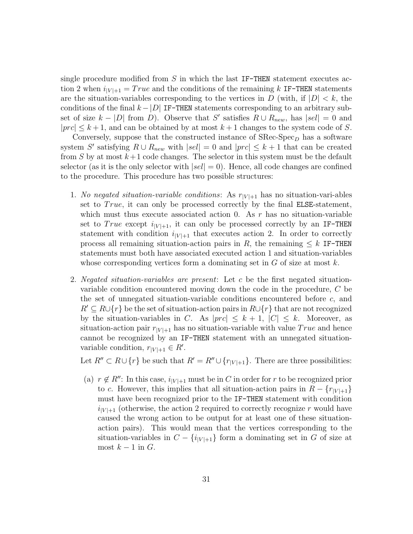single procedure modified from  $S$  in which the last IF-THEN statement executes action 2 when  $i_{|V|+1} = True$  and the conditions of the remaining k IF-THEN statements are the situation-variables corresponding to the vertices in  $D$  (with, if  $|D| < k$ , the conditions of the final  $k - |D|$  IF-THEN statements corresponding to an arbitrary subset of size  $k - |D|$  from D). Observe that S' satisfies  $R \cup R_{new}$ , has  $|sel| = 0$  and  $|prc| \leq k+1$ , and can be obtained by at most  $k+1$  changes to the system code of S.

Conversely, suppose that the constructed instance of  $SRecSpec_D$  has a software system S' satisfying  $R \cup R_{new}$  with  $|sel| = 0$  and  $|prc| \leq k+1$  that can be created from S by at most  $k+1$  code changes. The selector in this system must be the default selector (as it is the only selector with  $|sel| = 0$ ). Hence, all code changes are confined to the procedure. This procedure has two possible structures:

- 1. *No negated situation-variable conditions*: As  $r_{|V|+1}$  has no situation-vari-ables set to  $True$ , it can only be processed correctly by the final ELSE-statement, which must thus execute associated action 0. As  $r$  has no situation-variable set to True except  $i_{|V|+1}$ , it can only be processed correctly by an IF-THEN statement with condition  $i_{|V|+1}$  that executes action 2. In order to correctly process all remaining situation-action pairs in R, the remaining  $\leq k$  IF-THEN statements must both have associated executed action 1 and situation-variables whose corresponding vertices form a dominating set in  $G$  of size at most  $k$ .
- 2. *Negated situation-variables are present*: Let c be the first negated situationvariable condition encountered moving down the code in the procedure, C be the set of unnegated situation-variable conditions encountered before  $c$ , and  $R' \subseteq R \cup \{r\}$  be the set of situation-action pairs in  $R \cup \{r\}$  that are not recognized by the situation-variables in C. As  $|prc| \leq k+1$ ,  $|C| \leq k$ . Moreover, as situation-action pair  $r_{|V|+1}$  has no situation-variable with value True and hence cannot be recognized by an IF-THEN statement with an unnegated situationvariable condition,  $r_{|V|+1} \in R'$ .

Let  $R'' \subset R \cup \{r\}$  be such that  $R' = R'' \cup \{r_{|V|+1}\}\$ . There are three possibilities:

(a)  $r \notin R''$ : In this case,  $i_{|V|+1}$  must be in C in order for r to be recognized prior to c. However, this implies that all situation-action pairs in  $R - \{r_{|V|+1}\}\$ must have been recognized prior to the IF-THEN statement with condition  $i_{|V|+1}$  (otherwise, the action 2 required to correctly recognize r would have caused the wrong action to be output for at least one of these situationaction pairs). This would mean that the vertices corresponding to the situation-variables in  $C - \{i_{|V|+1}\}\$ form a dominating set in G of size at most  $k-1$  in  $G$ .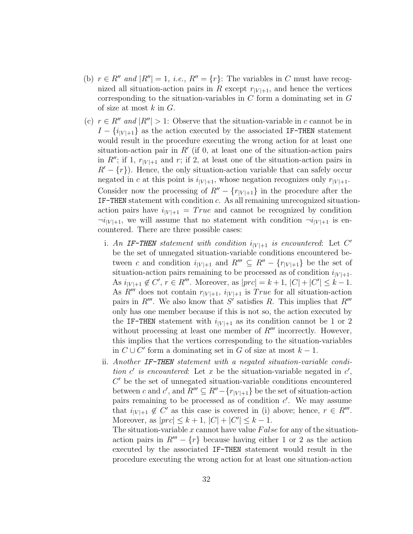- (b)  $r \in R''$  *and*  $|R''| = 1$ *, i.e.,*  $R'' = \{r\}$ : The variables in C must have recognized all situation-action pairs in R except  $r_{|V|+1}$ , and hence the vertices corresponding to the situation-variables in  $C$  form a dominating set in  $G$ of size at most  $k$  in  $G$ .
- (c)  $r \in R''$  *and*  $|R''| > 1$ : Observe that the situation-variable in c cannot be in  $I - \{i_{|V|+1}\}\$ as the action executed by the associated IF-THEN statement would result in the procedure executing the wrong action for at least one situation-action pair in  $R'$  (if 0, at least one of the situation-action pairs in  $R''$ ; if 1,  $r_{|V|+1}$  and r; if 2, at least one of the situation-action pairs in  $R'-\{r\}$ . Hence, the only situation-action variable that can safely occur negated in c at this point is  $i_{|V|+1}$ , whose negation recognizes only  $r_{|V|+1}$ . Consider now the processing of  $R'' - \{r_{|V|+1}\}\$ in the procedure after the IF-THEN statement with condition c. As all remaining unrecognized situationaction pairs have  $i_{|V|+1} = True$  and cannot be recognized by condition  $\neg i_{|V|+1}$ , we will assume that no statement with condition  $\neg i_{|V|+1}$  is encountered. There are three possible cases:
	- i. An IF-THEN statement with condition  $i_{|V|+1}$  is encountered: Let C' be the set of unnegated situation-variable conditions encountered between c and condition  $i_{|V|+1}$  and  $R''' \subseteq R'' - \{r_{|V|+1}\}\)$  be the set of situation-action pairs remaining to be processed as of condition  $i_{|V|+1}$ . As  $i_{|V|+1} \notin C'$ ,  $r \in R'''$ . Moreover, as  $|prc| = k+1$ ,  $|C| + |C'| \leq k-1$ . As  $R^{\prime\prime\prime}$  does not contain  $r_{|V|+1}$ ,  $i_{|V|+1}$  is True for all situation-action pairs in  $R'''$ . We also know that S' satisfies R. This implies that  $R'''$ only has one member because if this is not so, the action executed by the IF-THEN statement with  $i_{|V|+1}$  as its condition cannot be 1 or 2 without processing at least one member of  $R^{\prime\prime\prime}$  incorrectly. However, this implies that the vertices corresponding to the situation-variables in  $C \cup C'$  form a dominating set in G of size at most  $k - 1$ .
	- ii. *Another* IF-THEN *statement with a negated situation-variable condition*  $c'$  *is encountered*: Let  $x$  be the situation-variable negated in  $c'$ , C ′ be the set of unnegated situation-variable conditions encountered between c and c', and  $R''' \subseteq R'' - \{r_{|V|+1}\}\)$  be the set of situation-action pairs remaining to be processed as of condition  $c'$ . We may assume that  $i_{|V|+1} \notin C'$  as this case is covered in (i) above; hence,  $r \in R'''$ . Moreover, as  $|prc| \leq k + 1$ ,  $|C| + |C'| \leq k - 1$ .

The situation-variable x cannot have value  $False$  for any of the situationaction pairs in  $R''' - \{r\}$  because having either 1 or 2 as the action executed by the associated IF-THEN statement would result in the procedure executing the wrong action for at least one situation-action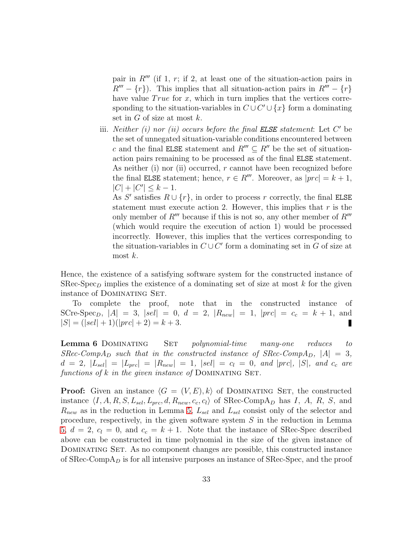pair in  $R'''$  (if 1, r; if 2, at least one of the situation-action pairs in  $R''' - \{r\}$ . This implies that all situation-action pairs in  $R''' - \{r\}$ have value  $True$  for  $x$ , which in turn implies that the vertices corresponding to the situation-variables in  $C \cup C' \cup \{x\}$  form a dominating set in  $G$  of size at most  $k$ .

iii. *Neither (i) nor (ii) occurs before the final ELSE statement*: Let C' be the set of unnegated situation-variable conditions encountered between c and the final ELSE statement and  $R^{\prime\prime\prime} \subset R^{\prime\prime}$  be the set of situationaction pairs remaining to be processed as of the final ELSE statement. As neither (i) nor (ii) occurred, r cannot have been recognized before the final ELSE statement; hence,  $r \in R'''$ . Moreover, as  $|prc| = k + 1$ ,  $|C| + |C'| \leq k - 1.$ 

As S' satisfies  $R \cup \{r\}$ , in order to process r correctly, the final ELSE statement must execute action 2. However, this implies that  $r$  is the only member of  $R^{\prime\prime\prime}$  because if this is not so, any other member of  $R^{\prime\prime\prime}$ (which would require the execution of action 1) would be processed incorrectly. However, this implies that the vertices corresponding to the situation-variables in  $C\cup C'$  form a dominating set in G of size at most  $k$ .

Hence, the existence of a satisfying software system for the constructed instance of SRec-Spec<sub>D</sub> implies the existence of a dominating set of size at most k for the given instance of Dominating Set.

To complete the proof, note that in the constructed instance of SCre-Spec<sub>D</sub>,  $|A| = 3$ ,  $|sel| = 0$ ,  $d = 2$ ,  $|R_{new}| = 1$ ,  $|prc| = c_c = k + 1$ , and  $|S| = (|sel| + 1)(|prc| + 2) = k + 3.$ П

<span id="page-32-0"></span>Lemma 6 Dominating Set *polynomial-time many-one reduces to SRec-CompA*<sup>D</sup> *such that in the constructed instance of SRec-CompA*<sup>D</sup>,  $|A| = 3$ *,*  $d = 2$ ,  $|L_{sel}| = |L_{prc}| = |R_{new}| = 1$ ,  $|sel| = c_l = 0$ , and  $|prc|$ ,  $|S|$ , and  $c_c$  are *functions of* k *in the given instance of* DOMINATING SET.

**Proof:** Given an instance  $\langle G = (V, E), k \rangle$  of DOMINATING SET, the constructed instance  $\langle I, A, R, S, L_{sel}, L_{prc}, d, R_{new}, c_c, c_l \rangle$  of SRec-CompA<sub>D</sub> has I, A, R, S, and  $R_{new}$  as in the reduction in Lemma [5,](#page-29-0)  $L_{sel}$  and  $L_{sel}$  consist only of the selector and procedure, respectively, in the given software system S in the reduction in Lemma [5,](#page-29-0)  $d = 2$ ,  $c_l = 0$ , and  $c_c = k + 1$ . Note that the instance of SRec-Spec described above can be constructed in time polynomial in the size of the given instance of DOMINATING SET. As no component changes are possible, this constructed instance of  $SRec-CompA<sub>D</sub>$  is for all intensive purposes an instance of  $SRec-Spec$ , and the proof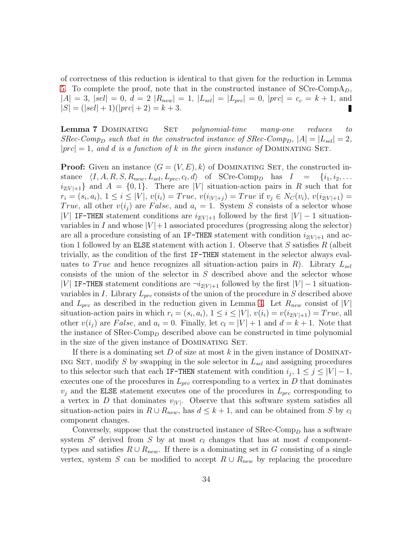of correctness of this reduction is identical to that given for the reduction in Lemma [5.](#page-29-0) To complete the proof, note that in the constructed instance of  $SCre-CompA<sub>D</sub>$ ,  $|A| = 3$ ,  $|sel| = 0$ ,  $d = 2 |R_{new}| = 1$ ,  $|L_{sel}| = |L_{prc}| = 0$ ,  $|prc| = c_c = k + 1$ , and  $|S| = (|sel| + 1)(|prc| + 2) = k + 3.$ 

<span id="page-33-0"></span>Lemma 7 Dominating Set *polynomial-time many-one reduces to SRec-Comp*<sub>D</sub> *such that in the constructed instance of SRec-Comp*<sub>D</sub>,  $|A| = |L_{sel}| = 2$ ,  $|prc| = 1$ , and d is a function of k in the given instance of DOMINATING SET.

**Proof:** Given an instance  $\langle G = (V, E), k \rangle$  of DOMINATING SET, the constructed instance  $\langle I, A, R, S, R_{new}, L_{sel}, L_{prc}, c_l, d \rangle$  of SCre-Comp<sub>D</sub> has  $I = \{i_1, i_2, \ldots$  $i_{2|V|+1}$  and  $A = \{0,1\}$ . There are |V| situation-action pairs in R such that for  $r_i = (s_i, a_i), 1 \leq i \leq |V|, v(i_i) = True, v(i_{|V|+j}) = True$  if  $v_j \in N_C(v_i), v(i_{2|V|+1}) =$ True, all other  $v(i_j)$  are False, and  $a_i = 1$ . System S consists of a selector whose |V| IF-THEN statement conditions are  $i_{2|V|+1}$  followed by the first  $|V| - 1$  situationvariables in I and whose  $|V|+1$  associated procedures (progressing along the selector) are all a procedure consisting of an IF-THEN statement with condition  $i_{2|V|+1}$  and action 1 followed by an ELSE statement with action 1. Observe that  $S$  satisfies  $R$  (albeit trivially, as the condition of the first IF-THEN statement in the selector always evaluates to True and hence recognizes all situation-action pairs in R). Library  $L_{sel}$ consists of the union of the selector in  $S$  described above and the selector whose |V| IF-THEN statement conditions are  $\neg i_{2|V|+1}$  followed by the first  $|V| - 1$  situationvariables in I. Library  $L_{prc}$  consists of the union of the procedure in S described above and  $L_{prc}$  as described in the reduction given in Lemma [4.](#page-28-0) Let  $R_{new}$  consist of |V| situation-action pairs in which  $r_i = (s_i, a_i), 1 \leq i \leq |V|, v(i_i) = v(i_{2|V|+1}) = True$ , all other  $v(i_j)$  are False, and  $a_i = 0$ . Finally, let  $c_l = |V| + 1$  and  $d = k + 1$ . Note that the instance of  $SRec-Comp<sub>D</sub>$  described above can be constructed in time polynomial in the size of the given instance of DOMINATING SET.

If there is a dominating set D of size at most k in the given instance of DOMINAT-ING SET, modify S by swapping in the sole selector in  $L_{sel}$  and assigning procedures to this selector such that each IF-THEN statement with condition  $i_j$ ,  $1 \leq j \leq |V|-1$ , executes one of the procedures in  $L_{prc}$  corresponding to a vertex in D that dominates  $v_j$  and the ELSE statement executes one of the procedures in  $L_{prc}$  corresponding to a vertex in D that dominates  $v_{|V|}$ . Observe that this software system satisfies all situation-action pairs in  $R \cup R_{new}$ , has  $d \leq k+1$ , and can be obtained from S by  $c_l$ component changes.

Conversely, suppose that the constructed instance of  $\text{SRec-Comp}_D$  has a software system  $S'$  derived from  $S$  by at most  $c_l$  changes that has at most  $d$  componenttypes and satisfies  $R \cup R_{new}$ . If there is a dominating set in G consisting of a single vertex, system S can be modified to accept  $R \cup R_{new}$  by replacing the procedure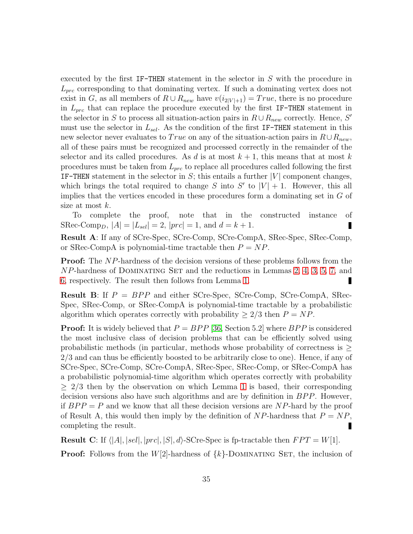executed by the first IF-THEN statement in the selector in S with the procedure in  $L_{\text{prc}}$  corresponding to that dominating vertex. If such a dominating vertex does not exist in G, as all members of  $R \cup R_{new}$  have  $v(i_{2|V|+1}) = True$ , there is no procedure in  $L_{prc}$  that can replace the procedure executed by the first IF-THEN statement in the selector in S to process all situation-action pairs in  $R \cup R_{new}$  correctly. Hence, S' must use the selector in  $L_{sel}$ . As the condition of the first IF-THEN statement in this new selector never evaluates to True on any of the situation-action pairs in  $R\cup R_{new}$ , all of these pairs must be recognized and processed correctly in the remainder of the selector and its called procedures. As d is at most  $k + 1$ , this means that at most k procedures must be taken from  $L_{\text{prc}}$  to replace all procedures called following the first IF-THEN statement in the selector in  $S$ ; this entails a further  $|V|$  component changes, which brings the total required to change S into  $S'$  to  $|V|+1$ . However, this all implies that the vertices encoded in these procedures form a dominating set in G of size at most  $k$ .

To complete the proof, note that in the constructed instance of SRec-Comp<sub>D</sub>,  $|A| = |L_{sel}| = 2$ ,  $|prc| = 1$ , and  $d = k + 1$ . П

Result A: If any of SCre-Spec, SCre-Comp, SCre-CompA, SRec-Spec, SRec-Comp, or SRec-CompA is polynomial-time tractable then  $P = NP$ .

**Proof:** The NP-hardness of the decision versions of these problems follows from the  $NP$ -hardness of DOMINATING SET and the reductions in Lemmas [2,](#page-26-0) [4,](#page-28-0) [3,](#page-27-0) [5,](#page-29-0) [7,](#page-33-0) and [6,](#page-32-0) respectively. The result then follows from Lemma [1.](#page-26-1)

**Result B:** If  $P = BPP$  and either SCre-Spec, SCre-Comp, SCre-CompA, SRec-Spec, SRec-Comp, or SRec-CompA is polynomial-time tractable by a probabilistic algorithm which operates correctly with probability  $\geq 2/3$  then  $P = NP$ .

**Proof:** It is widely believed that  $P = BPP$  [\[36,](#page-24-6) Section 5.2] where  $BPP$  is considered the most inclusive class of decision problems that can be efficiently solved using probabilistic methods (in particular, methods whose probability of correctness is  $\geq$ 2/3 and can thus be efficiently boosted to be arbitrarily close to one). Hence, if any of SCre-Spec, SCre-Comp, SCre-CompA, SRec-Spec, SRec-Comp, or SRec-CompA has a probabilistic polynomial-time algorithm which operates correctly with probability  $> 2/3$  then by the observation on which Lemma [1](#page-26-1) is based, their corresponding decision versions also have such algorithms and are by definition in  $BPP$ . However, if  $BPP = P$  and we know that all these decision versions are NP-hard by the proof of Result A, this would then imply by the definition of  $NP$ -hardness that  $P = NP$ , completing the result. Π

**Result C**: If  $\langle |A|, |sel|, |prc|, |S|, d\rangle$ -SCre-Spec is fp-tractable then  $FPT = W[1]$ . **Proof:** Follows from the  $W[2]$ -hardness of  $\{k\}$ -DOMINATING SET, the inclusion of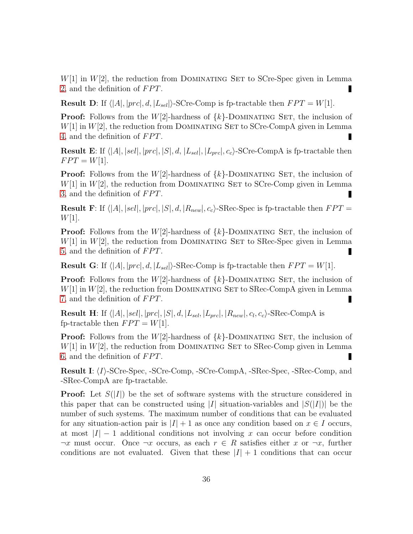$W[1]$  in  $W[2]$ , the reduction from DOMINATING SET to SCre-Spec given in Lemma [2,](#page-26-0) and the definition of  $FPT$ . П

**Result D:** If  $\langle |A|, |prc|, d, |L_{sel}|\rangle$ -SCre-Comp is fp-tractable then  $FPT = W[1]$ .

**Proof:** Follows from the  $W[2]$ -hardness of  $\{k\}$ -DOMINATING SET, the inclusion of  $W[1]$  in  $W[2]$ , the reduction from DOMINATING SET to SCre-CompA given in Lemma [4,](#page-28-0) and the definition of  $FPT$ .

**Result E**: If  $\langle |A|, |sel|, |prc|, |S|, d, |L_{sel}|, |L_{prc}|, c_c$ . SCre-CompA is fp-tractable then  $FPT = W[1].$ 

**Proof:** Follows from the  $W[2]$ -hardness of  $\{k\}$ -DOMINATING SET, the inclusion of  $W[1]$  in  $W[2]$ , the reduction from DOMINATING SET to SCre-Comp given in Lemma [3,](#page-27-0) and the definition of  $FPT$ .

**Result F:** If  $\langle |A|, |sel|, |prc|, |S|, d, |R_{new}|, c_c \rangle$ -SRec-Spec is fp-tractable then  $FPT =$  $W[1]$ .

**Proof:** Follows from the  $W[2]$ -hardness of  $\{k\}$ -DOMINATING SET, the inclusion of  $W[1]$  in  $W[2]$ , the reduction from DOMINATING SET to SRec-Spec given in Lemma [5,](#page-29-0) and the definition of  $FPT$ . П

**Result G:** If  $\langle |A|, |prc|, d, |L_{sel}|\rangle$ -SRec-Comp is fp-tractable then  $FPT = W[1]$ .

**Proof:** Follows from the  $W[2]$ -hardness of  $\{k\}$ -DOMINATING SET, the inclusion of  $W[1]$  in  $W[2]$ , the reduction from DOMINATING SET to SRec-CompA given in Lemma [7,](#page-33-0) and the definition of  $FPT$ .

**Result H**: If  $\langle |A|, |sel|, |prc|, |S|, d, |L_{sel}, |L_{prc}|, |R_{new}|, c_l, c_c \rangle$ -SRec-CompA is fp-tractable then  $FPT = W[1]$ .

**Proof:** Follows from the  $W[2]$ -hardness of  $\{k\}$ -DOMINATING SET, the inclusion of  $W[1]$  in  $W[2]$ , the reduction from DOMINATING SET to SRec-Comp given in Lemma [6,](#page-32-0) and the definition of  $FPT$ . г

**Result I:**  $\langle I \rangle$ -SCre-Spec, -SCre-Comp, -SCre-CompA, -SRec-Spec, -SRec-Comp, and -SRec-CompA are fp-tractable.

**Proof:** Let  $S(|I|)$  be the set of software systems with the structure considered in this paper that can be constructed using |I| situation-variables and  $|S(|I|)|$  be the number of such systems. The maximum number of conditions that can be evaluated for any situation-action pair is  $|I| + 1$  as once any condition based on  $x \in I$  occurs, at most  $|I| - 1$  additional conditions not involving x can occur before condition  $\neg x$  must occur. Once  $\neg x$  occurs, as each  $r \in R$  satisfies either x or  $\neg x$ , further conditions are not evaluated. Given that these  $|I| + 1$  conditions that can occur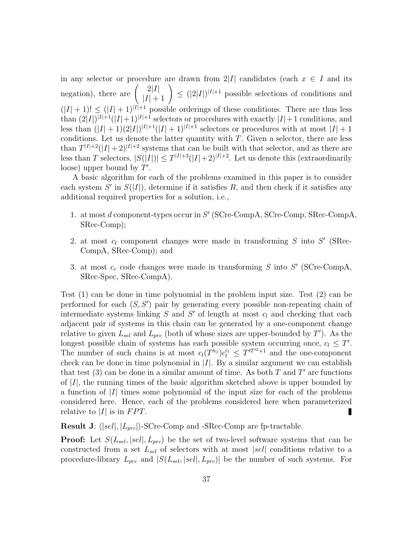in any selector or procedure are drawn from 2|I| candidates (each  $x \in I$  and its negation), there are  $\binom{2|I|}{|I|+1} \leq (|2|I|)^{|I|+1}$  possible selections of conditions and  $(|I| + 1)! \leq (|I| + 1)^{|I|+1}$  possible orderings of these conditions. There are thus less than  $(2|I|)^{|I|+1}(|I|+1)^{|I|+1}$  selectors or procedures with exactly  $|I|+1$  conditions, and less than  $(|I|+1)(2|I|)^{|I|+1}(|I|+1)^{|I|+1}$  selectors or procedures with at most  $|I|+1$ conditions. Let us denote the latter quantity with  $T$ . Given a selector, there are less than  $T^{|I|+2}(|I|+2)^{|I|+2}$  systems that can be built with that selector, and as there are less than T selectors,  $|S(|I|)| \leq T^{|I|+3}(|I|+2)^{|I|+2}$ . Let us denote this (extraordinarily loose) upper bound by  $T'$ .

A basic algorithm for each of the problems examined in this paper is to consider each system  $S'$  in  $S(|I|)$ , determine if it satisfies R, and then check if it satisfies any additional required properties for a solution, i.e.,

- 1. at most d component-types occur in  $S'$  (SCre-CompA, SCre-Comp, SRec-CompA, SRec-Comp);
- 2. at most  $c_l$  component changes were made in transforming  $S$  into  $S'$  (SRec-CompA, SRec-Comp); and
- 3. at most  $c_c$  code changes were made in transforming S into S' (SCre-CompA, SRec-Spec, SRec-CompA).

Test (1) can be done in time polynomial in the problem input size. Test (2) can be performed for each  $(S, S')$  pair by generating every possible non-repeating chain of intermediate systems linking  $S$  and  $S'$  of length at most  $c_l$  and checking that each adjacent pair of systems in this chain can be generated by a one-component change relative to given  $L_{sel}$  and  $L_{prc}$  (both of whose sizes are upper-bounded by  $T'$ ). As the longest possible chain of systems has each possible system occurring once,  $c_l \leq T'$ . The number of such chains is at most  $c_l(T^{i_{c_l}})c_l^{c_l} \leq T^{iT^{i_{c_l}}+1}$  and the one-component check can be done in time polynomial in  $|I|$ . By a similar argument we can establish that test (3) can be done in a similar amount of time. As both  $T$  and  $T'$  are functions of  $|I|$ , the running times of the basic algorithm sketched above is upper bounded by a function of  $|I|$  times some polynomial of the input size for each of the problems considered here. Hence, each of the problems considered here when parameterized relative to |I| is in  $FPT$ . П

**Result J:**  $\langle |sel|, |L_{prc}| \rangle$ -SCre-Comp and -SRec-Comp are fp-tractable.

**Proof:** Let  $S(L_{sel}, |sel|, L_{prc})$  be the set of two-level software systems that can be constructed from a set  $L_{sel}$  of selectors with at most |sel| conditions relative to a procedure-library  $L_{prc}$  and  $|S(L_{sel}, |sel|, L_{prc})|$  be the number of such systems. For